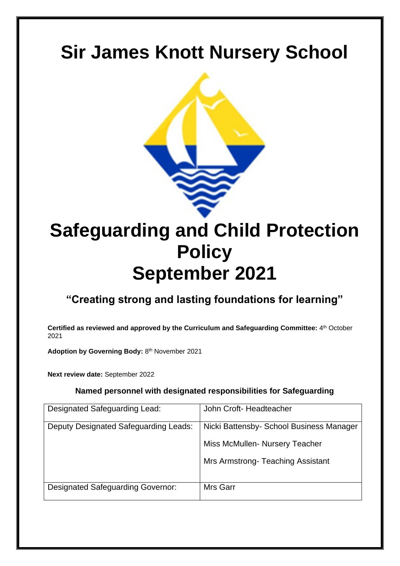# **Sir James Knott Nursery School**



# **Safeguarding and Child Protection Policy September 2021**

# **"Creating strong and lasting foundations for learning"**

**Certified as reviewed and approved by the Curriculum and Safeguarding Committee:** 4 th October 2021

Adoption by Governing Body: 8<sup>th</sup> November 2021

**Next review date:** September 2022

# **Named personnel with designated responsibilities for Safeguarding**

| Designated Safeguarding Lead:            | John Croft-Headteacher                   |
|------------------------------------------|------------------------------------------|
| Deputy Designated Safeguarding Leads:    | Nicki Battensby- School Business Manager |
|                                          | Miss McMullen-Nursery Teacher            |
|                                          | Mrs Armstrong-Teaching Assistant         |
| <b>Designated Safeguarding Governor:</b> | Mrs Garr                                 |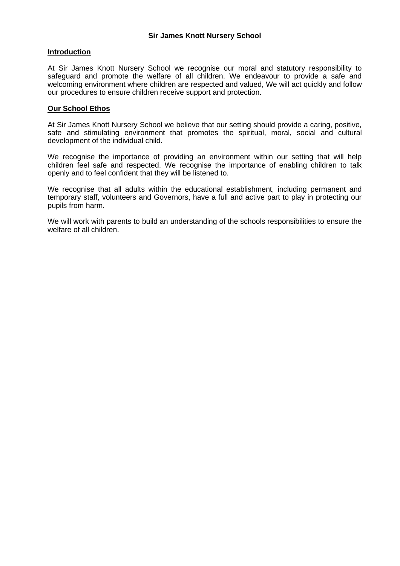# **Introduction**

At Sir James Knott Nursery School we recognise our moral and statutory responsibility to safeguard and promote the welfare of all children. We endeavour to provide a safe and welcoming environment where children are respected and valued, We will act quickly and follow our procedures to ensure children receive support and protection.

### **Our School Ethos**

At Sir James Knott Nursery School we believe that our setting should provide a caring, positive, safe and stimulating environment that promotes the spiritual, moral, social and cultural development of the individual child.

We recognise the importance of providing an environment within our setting that will help children feel safe and respected. We recognise the importance of enabling children to talk openly and to feel confident that they will be listened to.

We recognise that all adults within the educational establishment, including permanent and temporary staff, volunteers and Governors, have a full and active part to play in protecting our pupils from harm.

We will work with parents to build an understanding of the schools responsibilities to ensure the welfare of all children.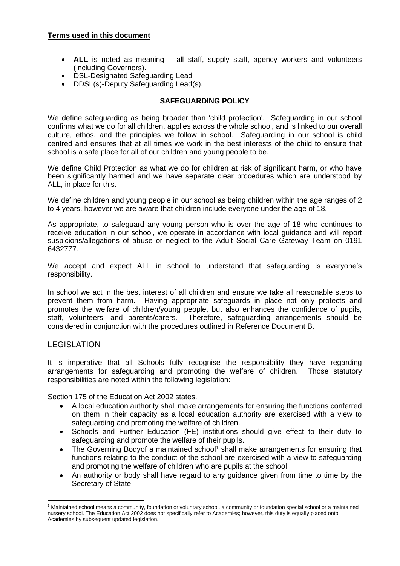- **ALL** is noted as meaning all staff, supply staff, agency workers and volunteers (including Governors).
- DSL-Designated Safeguarding Lead
- DDSL(s)-Deputy Safeguarding Lead(s).

### **SAFEGUARDING POLICY**

We define safeguarding as being broader than 'child protection'. Safeguarding in our school confirms what we do for all children, applies across the whole school, and is linked to our overall culture, ethos, and the principles we follow in school. Safeguarding in our school is child centred and ensures that at all times we work in the best interests of the child to ensure that school is a safe place for all of our children and young people to be.

We define Child Protection as what we do for children at risk of significant harm, or who have been significantly harmed and we have separate clear procedures which are understood by ALL, in place for this.

We define children and young people in our school as being children within the age ranges of 2 to 4 years, however we are aware that children include everyone under the age of 18.

As appropriate, to safeguard any young person who is over the age of 18 who continues to receive education in our school, we operate in accordance with local guidance and will report suspicions/allegations of abuse or neglect to the Adult Social Care Gateway Team on 0191 6432777.

We accept and expect ALL in school to understand that safeguarding is everyone's responsibility.

In school we act in the best interest of all children and ensure we take all reasonable steps to prevent them from harm. Having appropriate safeguards in place not only protects and promotes the welfare of children/young people, but also enhances the confidence of pupils, staff, volunteers, and parents/carers. Therefore, safeguarding arrangements should be considered in conjunction with the procedures outlined in Reference Document B.

# **LEGISLATION**

It is imperative that all Schools fully recognise the responsibility they have regarding arrangements for safeguarding and promoting the welfare of children. Those statutory responsibilities are noted within the following legislation:

Section 175 of the Education Act 2002 states.

- A local education authority shall make arrangements for ensuring the functions conferred on them in their capacity as a local education authority are exercised with a view to safeguarding and promoting the welfare of children.
- Schools and Further Education (FE) institutions should give effect to their duty to safeguarding and promote the welfare of their pupils.
- The Governing Bodyof a maintained school<sup>1</sup> shall make arrangements for ensuring that functions relating to the conduct of the school are exercised with a view to safeguarding and promoting the welfare of children who are pupils at the school.
- An authority or body shall have regard to any guidance given from time to time by the Secretary of State.

<sup>1</sup> Maintained school means a community, foundation or voluntary school, a community or foundation special school or a maintained nursery school. The Education Act 2002 does not specifically refer to Academies; however, this duty is equally placed onto Academies by subsequent updated legislation.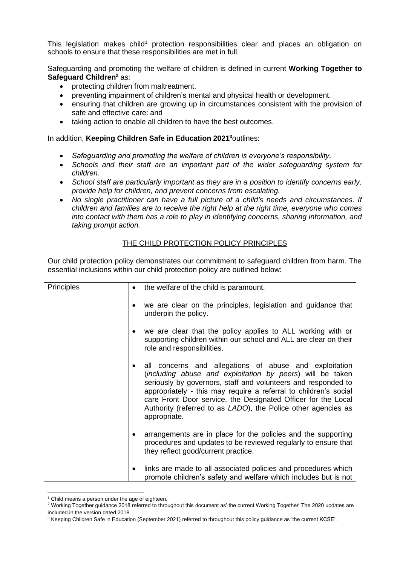This legislation makes child<sup>1</sup> protection responsibilities clear and places an obligation on schools to ensure that these responsibilities are met in full.

Safeguarding and promoting the welfare of children is defined in current **Working Together to Safeguard Children<sup>2</sup>** as:

- protecting children from maltreatment.
- preventing impairment of children's mental and physical health or development.
- ensuring that children are growing up in circumstances consistent with the provision of safe and effective care: and
- taking action to enable all children to have the best outcomes.

In addition, **Keeping Children Safe in Education 2021 <sup>3</sup>**outlines:

- *Safeguarding and promoting the welfare of children is everyone's responsibility.*
- *Schools and their staff are an important part of the wider safeguarding system for children.*
- *School staff are particularly important as they are in a position to identify concerns early, provide help for children, and prevent concerns from escalating.*
- *No single practitioner can have a full picture of a child's needs and circumstances. If children and families are to receive the right help at the right time, everyone who comes into contact with them has a role to play in identifying concerns, sharing information, and taking prompt action.*

### THE CHILD PROTECTION POLICY PRINCIPLES

Our child protection policy demonstrates our commitment to safeguard children from harm. The essential inclusions within our child protection policy are outlined below:

| Principles |   | the welfare of the child is paramount.                                                                                                                                                                                                                                                                                                                                                                     |
|------------|---|------------------------------------------------------------------------------------------------------------------------------------------------------------------------------------------------------------------------------------------------------------------------------------------------------------------------------------------------------------------------------------------------------------|
|            |   | we are clear on the principles, legislation and guidance that<br>underpin the policy.                                                                                                                                                                                                                                                                                                                      |
|            |   | we are clear that the policy applies to ALL working with or<br>supporting children within our school and ALL are clear on their<br>role and responsibilities.                                                                                                                                                                                                                                              |
|            |   | all concerns and allegations of abuse and exploitation<br>(including abuse and exploitation by peers) will be taken<br>seriously by governors, staff and volunteers and responded to<br>appropriately - this may require a referral to children's social<br>care Front Door service, the Designated Officer for the Local<br>Authority (referred to as LADO), the Police other agencies as<br>appropriate. |
|            |   | arrangements are in place for the policies and the supporting<br>procedures and updates to be reviewed regularly to ensure that<br>they reflect good/current practice.                                                                                                                                                                                                                                     |
|            | ٠ | links are made to all associated policies and procedures which<br>promote children's safety and welfare which includes but is not                                                                                                                                                                                                                                                                          |

 $1$  Child means a person under the age of eighteen.

<sup>2</sup> Working Together guidance 2018 referred to throughout this document as' the current Working Together' The 2020 updates are included in the version dated 2018.

<sup>&</sup>lt;sup>3</sup> Keeping Children Safe in Education (September 2021) referred to throughout this policy guidance as 'the current KCSE'.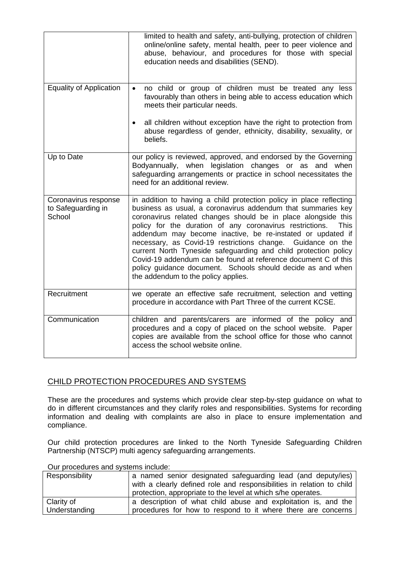|                                                      | limited to health and safety, anti-bullying, protection of children<br>online/online safety, mental health, peer to peer violence and<br>abuse, behaviour, and procedures for those with special<br>education needs and disabilities (SEND).                                                                                                                                                                                                                                                                                                                                                                                                            |
|------------------------------------------------------|---------------------------------------------------------------------------------------------------------------------------------------------------------------------------------------------------------------------------------------------------------------------------------------------------------------------------------------------------------------------------------------------------------------------------------------------------------------------------------------------------------------------------------------------------------------------------------------------------------------------------------------------------------|
| <b>Equality of Application</b>                       | no child or group of children must be treated any less<br>$\bullet$<br>favourably than others in being able to access education which<br>meets their particular needs.                                                                                                                                                                                                                                                                                                                                                                                                                                                                                  |
|                                                      | all children without exception have the right to protection from<br>$\bullet$<br>abuse regardless of gender, ethnicity, disability, sexuality, or<br>beliefs.                                                                                                                                                                                                                                                                                                                                                                                                                                                                                           |
| Up to Date                                           | our policy is reviewed, approved, and endorsed by the Governing<br>Bodyannually, when legislation changes or as and when<br>safeguarding arrangements or practice in school necessitates the<br>need for an additional review.                                                                                                                                                                                                                                                                                                                                                                                                                          |
| Coronavirus response<br>to Safeguarding in<br>School | in addition to having a child protection policy in place reflecting<br>business as usual, a coronavirus addendum that summaries key<br>coronavirus related changes should be in place alongside this<br>policy for the duration of any coronavirus restrictions.<br><b>This</b><br>addendum may become inactive, be re-instated or updated if<br>necessary, as Covid-19 restrictions change. Guidance on the<br>current North Tyneside safeguarding and child protection policy<br>Covid-19 addendum can be found at reference document C of this<br>policy guidance document. Schools should decide as and when<br>the addendum to the policy applies. |
| Recruitment                                          | we operate an effective safe recruitment, selection and vetting<br>procedure in accordance with Part Three of the current KCSE.                                                                                                                                                                                                                                                                                                                                                                                                                                                                                                                         |
| Communication                                        | children and parents/carers are informed of the policy and<br>procedures and a copy of placed on the school website. Paper<br>copies are available from the school office for those who cannot<br>access the school website online.                                                                                                                                                                                                                                                                                                                                                                                                                     |

# CHILD PROTECTION PROCEDURES AND SYSTEMS

These are the procedures and systems which provide clear step-by-step guidance on what to do in different circumstances and they clarify roles and responsibilities. Systems for recording information and dealing with complaints are also in place to ensure implementation and compliance.

Our child protection procedures are linked to the North Tyneside Safeguarding Children Partnership (NTSCP) multi agency safeguarding arrangements.

| <u>Udi proccuares and systems include.</u> |                                                                                                                                                                                                       |  |  |  |
|--------------------------------------------|-------------------------------------------------------------------------------------------------------------------------------------------------------------------------------------------------------|--|--|--|
| Responsibility                             | a named senior designated safeguarding lead (and deputy/ies)<br>with a clearly defined role and responsibilities in relation to child<br>protection, appropriate to the level at which s/he operates. |  |  |  |
| Clarity of<br>Understanding                | a description of what child abuse and exploitation is, and the<br>procedures for how to respond to it where there are concerns                                                                        |  |  |  |

Our procedures and systems include: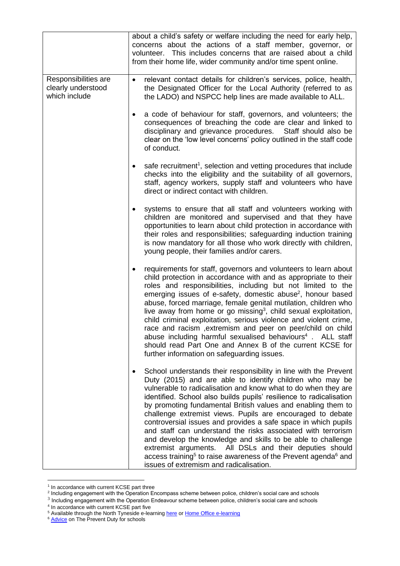|                                                             | about a child's safety or welfare including the need for early help,<br>concerns about the actions of a staff member, governor, or<br>volunteer. This includes concerns that are raised about a child<br>from their home life, wider community and/or time spent online.                                                                                                                                                                                                                                                                                                                                                                                                                                                                                                                              |
|-------------------------------------------------------------|-------------------------------------------------------------------------------------------------------------------------------------------------------------------------------------------------------------------------------------------------------------------------------------------------------------------------------------------------------------------------------------------------------------------------------------------------------------------------------------------------------------------------------------------------------------------------------------------------------------------------------------------------------------------------------------------------------------------------------------------------------------------------------------------------------|
| Responsibilities are<br>clearly understood<br>which include | relevant contact details for children's services, police, health,<br>$\bullet$<br>the Designated Officer for the Local Authority (referred to as<br>the LADO) and NSPCC help lines are made available to ALL.                                                                                                                                                                                                                                                                                                                                                                                                                                                                                                                                                                                         |
|                                                             | a code of behaviour for staff, governors, and volunteers; the<br>consequences of breaching the code are clear and linked to<br>disciplinary and grievance procedures. Staff should also be<br>clear on the 'low level concerns' policy outlined in the staff code<br>of conduct.                                                                                                                                                                                                                                                                                                                                                                                                                                                                                                                      |
|                                                             | safe recruitment <sup>1</sup> , selection and vetting procedures that include<br>checks into the eligibility and the suitability of all governors,<br>staff, agency workers, supply staff and volunteers who have<br>direct or indirect contact with children.                                                                                                                                                                                                                                                                                                                                                                                                                                                                                                                                        |
|                                                             | systems to ensure that all staff and volunteers working with<br>children are monitored and supervised and that they have<br>opportunities to learn about child protection in accordance with<br>their roles and responsibilities; safeguarding induction training<br>is now mandatory for all those who work directly with children,<br>young people, their families and/or carers.                                                                                                                                                                                                                                                                                                                                                                                                                   |
|                                                             | requirements for staff, governors and volunteers to learn about<br>child protection in accordance with and as appropriate to their<br>roles and responsibilities, including but not limited to the<br>emerging issues of e-safety, domestic abuse <sup>2</sup> , honour based<br>abuse, forced marriage, female genital mutilation, children who<br>live away from home or go missing <sup>3</sup> , child sexual exploitation,<br>child criminal exploitation, serious violence and violent crime,<br>race and racism, extremism and peer on peer/child on child<br>abuse including harmful sexualised behaviours <sup>4</sup> . ALL staff<br>should read Part One and Annex B of the current KCSE for<br>further information on safeguarding issues.                                                |
|                                                             | School understands their responsibility in line with the Prevent<br>Duty (2015) and are able to identify children who may be<br>vulnerable to radicalisation and know what to do when they are<br>identified. School also builds pupils' resilience to radicalisation<br>by promoting fundamental British values and enabling them to<br>challenge extremist views. Pupils are encouraged to debate<br>controversial issues and provides a safe space in which pupils<br>and staff can understand the risks associated with terrorism<br>and develop the knowledge and skills to be able to challenge<br>extremist arguments. All DSLs and their deputies should<br>access training <sup>5</sup> to raise awareness of the Prevent agenda <sup>6</sup> and<br>issues of extremism and radicalisation. |

<sup>&</sup>lt;sup>1</sup> In accordance with current KCSE part three<br><sup>2</sup> Including engagement with the Operation Encompass scheme between police, children's social care and schools<br><sup>3</sup> Including engagement with the Operation Endeavour scheme be

<sup>&</sup>lt;sup>5</sup> Available through the North Tyneside e-learnin[g here](https://northtyneside.learningpool.com/course/view.php?id=199) o[r Home Office e-learning](https://www.elearning.prevent.homeoffice.gov.uk/)

<sup>&</sup>lt;sup>6</sup> [Advice](https://assets.publishing.service.gov.uk/government/uploads/system/uploads/attachment_data/file/439598/prevent-duty-departmental-advice-v6.pdf) on The Prevent Duty for schools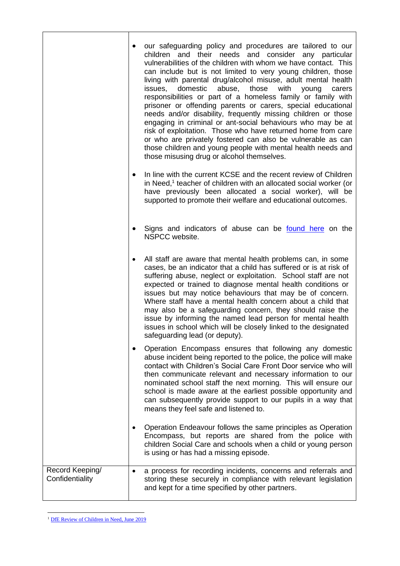|                                    | $\bullet$ | our safeguarding policy and procedures are tailored to our<br>children and their needs and consider any particular<br>vulnerabilities of the children with whom we have contact. This<br>can include but is not limited to very young children, those<br>living with parental drug/alcohol misuse, adult mental health<br>domestic<br>those<br>issues,<br>abuse,<br>with<br>young<br>carers<br>responsibilities or part of a homeless family or family with<br>prisoner or offending parents or carers, special educational<br>needs and/or disability, frequently missing children or those<br>engaging in criminal or ant-social behaviours who may be at<br>risk of exploitation. Those who have returned home from care<br>or who are privately fostered can also be vulnerable as can<br>those children and young people with mental health needs and<br>those misusing drug or alcohol themselves. |
|------------------------------------|-----------|----------------------------------------------------------------------------------------------------------------------------------------------------------------------------------------------------------------------------------------------------------------------------------------------------------------------------------------------------------------------------------------------------------------------------------------------------------------------------------------------------------------------------------------------------------------------------------------------------------------------------------------------------------------------------------------------------------------------------------------------------------------------------------------------------------------------------------------------------------------------------------------------------------|
|                                    | $\bullet$ | In line with the current KCSE and the recent review of Children<br>in Need, $1$ teacher of children with an allocated social worker (or<br>have previously been allocated a social worker), will be<br>supported to promote their welfare and educational outcomes.                                                                                                                                                                                                                                                                                                                                                                                                                                                                                                                                                                                                                                      |
|                                    | $\bullet$ | Signs and indicators of abuse can be found here on the<br>NSPCC website.                                                                                                                                                                                                                                                                                                                                                                                                                                                                                                                                                                                                                                                                                                                                                                                                                                 |
|                                    | $\bullet$ | All staff are aware that mental health problems can, in some<br>cases, be an indicator that a child has suffered or is at risk of<br>suffering abuse, neglect or exploitation. School staff are not<br>expected or trained to diagnose mental health conditions or<br>issues but may notice behaviours that may be of concern.<br>Where staff have a mental health concern about a child that<br>may also be a safeguarding concern, they should raise the<br>issue by informing the named lead person for mental health<br>issues in school which will be closely linked to the designated<br>safeguarding lead (or deputy).                                                                                                                                                                                                                                                                            |
|                                    | $\bullet$ | Operation Encompass ensures that following any domestic<br>abuse incident being reported to the police, the police will make<br>contact with Children's Social Care Front Door service who will<br>then communicate relevant and necessary information to our<br>nominated school staff the next morning. This will ensure our<br>school is made aware at the earliest possible opportunity and<br>can subsequently provide support to our pupils in a way that<br>means they feel safe and listened to.                                                                                                                                                                                                                                                                                                                                                                                                 |
|                                    | $\bullet$ | Operation Endeavour follows the same principles as Operation<br>Encompass, but reports are shared from the police with<br>children Social Care and schools when a child or young person<br>is using or has had a missing episode.                                                                                                                                                                                                                                                                                                                                                                                                                                                                                                                                                                                                                                                                        |
| Record Keeping/<br>Confidentiality | $\bullet$ | a process for recording incidents, concerns and referrals and<br>storing these securely in compliance with relevant legislation<br>and kept for a time specified by other partners.                                                                                                                                                                                                                                                                                                                                                                                                                                                                                                                                                                                                                                                                                                                      |

<sup>&</sup>lt;sup>1</sup> [DfE Review of Children in Need, June 2019](https://www.gov.uk/government/publications/review-of-children-in-need/review-of-children-in-need)

h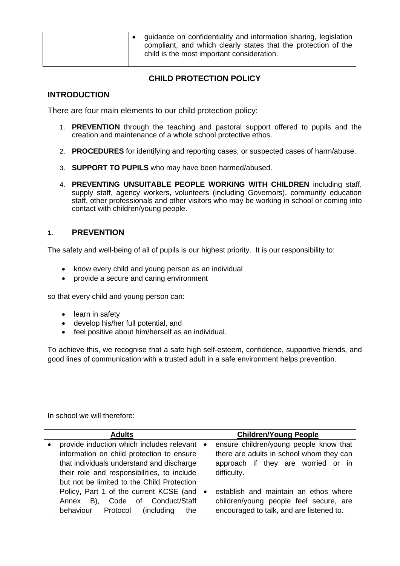|  | $\vert \bullet \vert$ guidance on confidentiality and information sharing, legislation $\vert$<br>compliant, and which clearly states that the protection of the<br>child is the most important consideration. |
|--|----------------------------------------------------------------------------------------------------------------------------------------------------------------------------------------------------------------|
|--|----------------------------------------------------------------------------------------------------------------------------------------------------------------------------------------------------------------|

# **CHILD PROTECTION POLICY**

# **INTRODUCTION**

There are four main elements to our child protection policy:

- 1. **PREVENTION** through the teaching and pastoral support offered to pupils and the creation and maintenance of a whole school protective ethos.
- 2. **PROCEDURES** for identifying and reporting cases, or suspected cases of harm/abuse.
- 3. **SUPPORT TO PUPILS** who may have been harmed/abused.
- 4. **PREVENTING UNSUITABLE PEOPLE WORKING WITH CHILDREN** including staff, supply staff, agency workers, volunteers (including Governors), community education staff, other professionals and other visitors who may be working in school or coming into contact with children/young people.

# **1. PREVENTION**

The safety and well-being of all of pupils is our highest priority. It is our responsibility to:

- know every child and young person as an individual
- provide a secure and caring environment

so that every child and young person can:

- learn in safety
- develop his/her full potential, and
- feel positive about him/herself as an individual.

To achieve this, we recognise that a safe high self-esteem, confidence, supportive friends, and good lines of communication with a trusted adult in a safe environment helps prevention.

In school we will therefore:

| <b>Adults</b>                               |           | <b>Children/Young People</b>             |
|---------------------------------------------|-----------|------------------------------------------|
| provide induction which includes relevant   | $\bullet$ | ensure children/young people know that   |
| information on child protection to ensure   |           | there are adults in school whom they can |
| that individuals understand and discharge   |           | approach if they are worried or in       |
| their role and responsibilities, to include |           | difficulty.                              |
| but not be limited to the Child Protection  |           |                                          |
| Policy, Part 1 of the current KCSE (and     | $\bullet$ | establish and maintain an ethos where    |
| Code of Conduct/Staff<br>Annex B),          |           | children/young people feel secure, are   |
| behaviour Protocol<br>(including)<br>the    |           | encouraged to talk, and are listened to. |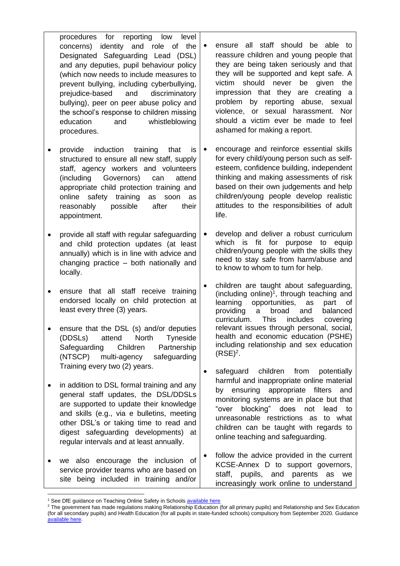procedures for reporting low level concerns) identity and role of the Designated Safeguarding Lead (DSL) and any deputies, pupil behaviour policy (which now needs to include measures to prevent bullying, including cyberbullying, prejudice-based and discriminatory bullying), peer on peer abuse policy and the school's response to children missing education and whistleblowing procedures.

- provide induction training that is structured to ensure all new staff, supply staff, agency workers and volunteers (including Governors) can attend appropriate child protection training and online safety training as soon as reasonably possible after their appointment.
- provide all staff with regular safeguarding and child protection updates (at least annually) which is in line with advice and changing practice – both nationally and locally.
- ensure that all staff receive training endorsed locally on child protection at least every three (3) years.
- ensure that the DSL (s) and/or deputies (DDSLs) attend North Tyneside Safeguarding Children Partnership (NTSCP) multi-agency safeguarding Training every two (2) years.
- in addition to DSL formal training and any general staff updates, the DSL/DDSLs are supported to update their knowledge and skills (e.g., via e bulletins, meeting other DSL's or taking time to read and digest safeguarding developments) at regular intervals and at least annually.
- we also encourage the inclusion of service provider teams who are based on site being included in training and/or
- ensure all staff should be able to reassure children and young people that they are being taken seriously and that they will be supported and kept safe. A victim should never be given the impression that they are creating a problem by reporting abuse, sexual violence, or sexual harassment. Nor should a victim ever be made to feel ashamed for making a report.
- encourage and reinforce essential skills for every child/young person such as selfesteem, confidence building, independent thinking and making assessments of risk based on their own judgements and help children/young people develop realistic attitudes to the responsibilities of adult life.
- develop and deliver a robust curriculum which is fit for purpose to equip children/young people with the skills they need to stay safe from harm/abuse and to know to whom to turn for help.
- children are taught about safeguarding, (including online) 1 , through teaching and learning opportunities, as part of providing a broad and balanced curriculum. This includes covering relevant issues through personal, social, health and economic education (PSHE) including relationship and sex education  $(RSE)^2$ .
- safeguard children from potentially harmful and inappropriate online material by ensuring appropriate filters and monitoring systems are in place but that "over blocking" does not lead to unreasonable restrictions as to what children can be taught with regards to online teaching and safeguarding.
- follow the advice provided in the current KCSE-Annex D to support governors, staff, pupils, and parents as we increasingly work online to understand

<sup>&</sup>lt;sup>1</sup> See DfE guidance on Teaching Online Safety in School[s available here](https://www.gov.uk/government/publications/teaching-online-safety-in-schools)

<sup>&</sup>lt;sup>2</sup> The government has made regulations making Relationship Education (for all primary pupils) and Relationship and Sex Education (for all secondary pupils) and Health Education (for all pupils in state-funded schools) compulsory from September 2020. Guidance [available here.](https://www.gov.uk/government/publications/relationships-education-relationships-and-sex-education-rse-and-health-education/implementation-of-relationships-education-relationships-and-sex-education-and-health-education-2020-to-2021)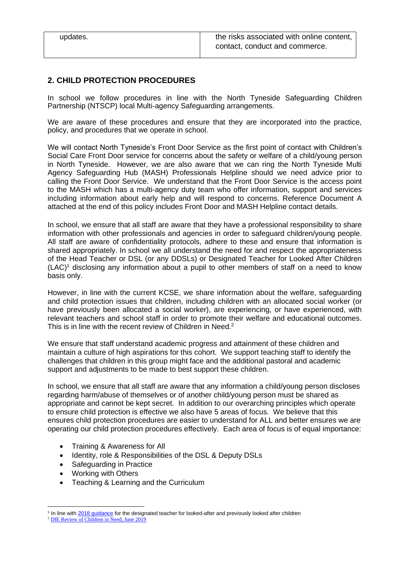# **2. CHILD PROTECTION PROCEDURES**

In school we follow procedures in line with the North Tyneside Safeguarding Children Partnership (NTSCP) local Multi-agency Safeguarding arrangements.

We are aware of these procedures and ensure that they are incorporated into the practice, policy, and procedures that we operate in school.

We will contact North Tyneside's Front Door Service as the first point of contact with Children's Social Care Front Door service for concerns about the safety or welfare of a child/young person in North Tyneside. However, we are also aware that we can ring the North Tyneside Multi Agency Safeguarding Hub (MASH) Professionals Helpline should we need advice prior to calling the Front Door Service. We understand that the Front Door Service is the access point to the MASH which has a multi-agency duty team who offer information, support and services including information about early help and will respond to concerns. Reference Document A attached at the end of this policy includes Front Door and MASH Helpline contact details.

In school, we ensure that all staff are aware that they have a professional responsibility to share information with other professionals and agencies in order to safeguard children/young people. All staff are aware of confidentiality protocols, adhere to these and ensure that information is shared appropriately. In school we all understand the need for and respect the appropriateness of the Head Teacher or DSL (or any DDSLs) or Designated Teacher for Looked After Children  $(LAC)^1$  disclosing any information about a pupil to other members of staff on a need to know basis only.

However, in line with the current KCSE, we share information about the welfare, safeguarding and child protection issues that children, including children with an allocated social worker (or have previously been allocated a social worker), are experiencing, or have experienced, with relevant teachers and school staff in order to promote their welfare and educational outcomes. This is in line with the recent review of Children in Need. $2$ 

We ensure that staff understand academic progress and attainment of these children and maintain a culture of high aspirations for this cohort. We support teaching staff to identify the challenges that children in this group might face and the additional pastoral and academic support and adjustments to be made to best support these children.

In school, we ensure that all staff are aware that any information a child/young person discloses regarding harm/abuse of themselves or of another child/young person must be shared as appropriate and cannot be kept secret. In addition to our overarching principles which operate to ensure child protection is effective we also have 5 areas of focus. We believe that this ensures child protection procedures are easier to understand for ALL and better ensures we are operating our child protection procedures effectively. Each area of focus is of equal importance:

- Training & Awareness for All
- Identity, role & Responsibilities of the DSL & Deputy DSLs
- Safeguarding in Practice
- Working with Others
- Teaching & Learning and the Curriculum

<sup>&</sup>lt;sup>1</sup> In line with [2018 guidance](https://www.gov.uk/government/publications/designated-teacher-for-looked-after-children) for the designated teacher for looked-after and previously looked after children

<sup>&</sup>lt;sup>2</sup> [DfE Review of Children in Need, June 2019](https://www.gov.uk/government/publications/review-of-children-in-need/review-of-children-in-need)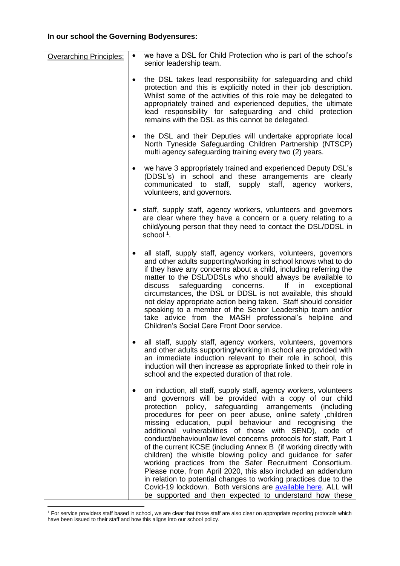# **In our school the Governing Bodyensures:**

| <b>Overarching Principles:</b> | $\bullet$ | we have a DSL for Child Protection who is part of the school's<br>senior leadership team.                                                                                                                                                                                                                                                                                                                                                                                                                                                                                                                                                                                                                                                                                                                                                                                                                       |
|--------------------------------|-----------|-----------------------------------------------------------------------------------------------------------------------------------------------------------------------------------------------------------------------------------------------------------------------------------------------------------------------------------------------------------------------------------------------------------------------------------------------------------------------------------------------------------------------------------------------------------------------------------------------------------------------------------------------------------------------------------------------------------------------------------------------------------------------------------------------------------------------------------------------------------------------------------------------------------------|
|                                | ٠         | the DSL takes lead responsibility for safeguarding and child<br>protection and this is explicitly noted in their job description.<br>Whilst some of the activities of this role may be delegated to<br>appropriately trained and experienced deputies, the ultimate<br>lead responsibility for safeguarding and child protection<br>remains with the DSL as this cannot be delegated.                                                                                                                                                                                                                                                                                                                                                                                                                                                                                                                           |
|                                | ٠         | the DSL and their Deputies will undertake appropriate local<br>North Tyneside Safeguarding Children Partnership (NTSCP)<br>multi agency safeguarding training every two (2) years.                                                                                                                                                                                                                                                                                                                                                                                                                                                                                                                                                                                                                                                                                                                              |
|                                | ٠         | we have 3 appropriately trained and experienced Deputy DSL's<br>(DDSL's) in school and these arrangements are clearly<br>communicated to staff, supply staff, agency workers,<br>volunteers, and governors.                                                                                                                                                                                                                                                                                                                                                                                                                                                                                                                                                                                                                                                                                                     |
|                                |           | staff, supply staff, agency workers, volunteers and governors<br>are clear where they have a concern or a query relating to a<br>child/young person that they need to contact the DSL/DDSL in<br>school $1$ .                                                                                                                                                                                                                                                                                                                                                                                                                                                                                                                                                                                                                                                                                                   |
|                                | $\bullet$ | all staff, supply staff, agency workers, volunteers, governors<br>and other adults supporting/working in school knows what to do<br>if they have any concerns about a child, including referring the<br>matter to the DSL/DDSLs who should always be available to<br>safeguarding concerns.<br>discuss<br>If in<br>exceptional<br>circumstances, the DSL or DDSL is not available, this should<br>not delay appropriate action being taken. Staff should consider<br>speaking to a member of the Senior Leadership team and/or<br>take advice from the MASH professional's helpline and<br>Children's Social Care Front Door service.                                                                                                                                                                                                                                                                           |
|                                |           | all staff, supply staff, agency workers, volunteers, governors<br>and other adults supporting/working in school are provided with<br>an immediate induction relevant to their role in school, this<br>induction will then increase as appropriate linked to their role in<br>school and the expected duration of that role.                                                                                                                                                                                                                                                                                                                                                                                                                                                                                                                                                                                     |
|                                |           | on induction, all staff, supply staff, agency workers, volunteers<br>and governors will be provided with a copy of our child<br>protection policy,<br>safeguarding arrangements (including<br>procedures for peer on peer abuse, online safety, children<br>missing education, pupil behaviour and recognising the<br>additional vulnerabilities of those with SEND), code of<br>conduct/behaviour/low level concerns protocols for staff, Part 1<br>of the current KCSE (including Annex B (if working directly with<br>children) the whistle blowing policy and guidance for safer<br>working practices from the Safer Recruitment Consortium.<br>Please note, from April 2020, this also included an addendum<br>in relation to potential changes to working practices due to the<br>Covid-19 lockdown. Both versions are available here. ALL will<br>be supported and then expected to understand how these |

<sup>&</sup>lt;sup>1</sup> For service providers staff based in school, we are clear that those staff are also clear on appropriate reporting protocols which have been issued to their staff and how this aligns into our school policy.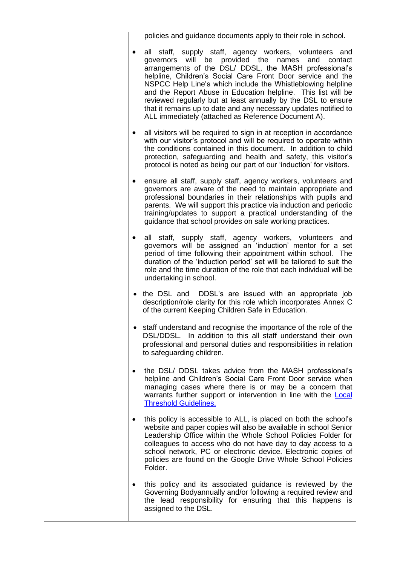| policies and guidance documents apply to their role in school.                                                                                                                                                                                                                                                                                                                                                                                                                                                                                                            |
|---------------------------------------------------------------------------------------------------------------------------------------------------------------------------------------------------------------------------------------------------------------------------------------------------------------------------------------------------------------------------------------------------------------------------------------------------------------------------------------------------------------------------------------------------------------------------|
| all staff, supply staff, agency workers, volunteers and<br>governors will be provided the<br>names<br>and<br>contact<br>arrangements of the DSL/ DDSL, the MASH professional's<br>helpline, Children's Social Care Front Door service and the<br>NSPCC Help Line's which include the Whistleblowing helpline<br>and the Report Abuse in Education helpline. This list will be<br>reviewed regularly but at least annually by the DSL to ensure<br>that it remains up to date and any necessary updates notified to<br>ALL immediately (attached as Reference Document A). |
| all visitors will be required to sign in at reception in accordance<br>$\bullet$<br>with our visitor's protocol and will be required to operate within<br>the conditions contained in this document. In addition to child<br>protection, safeguarding and health and safety, this visitor's<br>protocol is noted as being our part of our 'induction' for visitors.                                                                                                                                                                                                       |
| ensure all staff, supply staff, agency workers, volunteers and<br>$\bullet$<br>governors are aware of the need to maintain appropriate and<br>professional boundaries in their relationships with pupils and<br>parents. We will support this practice via induction and periodic<br>training/updates to support a practical understanding of the<br>guidance that school provides on safe working practices.                                                                                                                                                             |
| all staff, supply staff, agency workers, volunteers and<br>$\bullet$<br>governors will be assigned an 'induction' mentor for a set<br>period of time following their appointment within school. The<br>duration of the 'induction period' set will be tailored to suit the<br>role and the time duration of the role that each individual will be<br>undertaking in school.                                                                                                                                                                                               |
| the DSL and DDSL's are issued with an appropriate job<br>description/role clarity for this role which incorporates Annex C<br>of the current Keeping Children Safe in Education.                                                                                                                                                                                                                                                                                                                                                                                          |
| • staff understand and recognise the importance of the role of the<br>DSL/DDSL. In addition to this all staff understand their own<br>professional and personal duties and responsibilities in relation<br>to safeguarding children.                                                                                                                                                                                                                                                                                                                                      |
| the DSL/ DDSL takes advice from the MASH professional's<br>$\bullet$<br>helpline and Children's Social Care Front Door service when<br>managing cases where there is or may be a concern that<br>warrants further support or intervention in line with the <b>Local</b><br><b>Threshold Guidelines.</b>                                                                                                                                                                                                                                                                   |
| this policy is accessible to ALL, is placed on both the school's<br>$\bullet$<br>website and paper copies will also be available in school Senior<br>Leadership Office within the Whole School Policies Folder for<br>colleagues to access who do not have day to day access to a<br>school network, PC or electronic device. Electronic copies of<br>policies are found on the Google Drive Whole School Policies<br>Folder.                                                                                                                                             |
| this policy and its associated guidance is reviewed by the<br>$\bullet$<br>Governing Bodyannually and/or following a required review and<br>the lead responsibility for ensuring that this happens is<br>assigned to the DSL.                                                                                                                                                                                                                                                                                                                                             |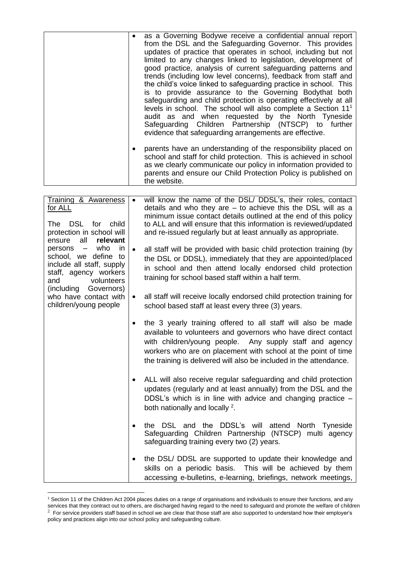|                                                                                                                           | $\bullet$<br>$\bullet$ | as a Governing Bodywe receive a confidential annual report<br>from the DSL and the Safeguarding Governor. This provides<br>updates of practice that operates in school, including but not<br>limited to any changes linked to legislation, development of<br>good practice, analysis of current safeguarding patterns and<br>trends (including low level concerns), feedback from staff and<br>the child's voice linked to safeguarding practice in school. This<br>is to provide assurance to the Governing Bodythat both<br>safeguarding and child protection is operating effectively at all<br>levels in school. The school will also complete a Section 11 <sup>1</sup><br>audit as and when requested by the North Tyneside<br>Safeguarding Children Partnership (NTSCP) to further<br>evidence that safeguarding arrangements are effective.<br>parents have an understanding of the responsibility placed on<br>school and staff for child protection. This is achieved in school<br>as we clearly communicate our policy in information provided to<br>parents and ensure our Child Protection Policy is published on<br>the website. |
|---------------------------------------------------------------------------------------------------------------------------|------------------------|------------------------------------------------------------------------------------------------------------------------------------------------------------------------------------------------------------------------------------------------------------------------------------------------------------------------------------------------------------------------------------------------------------------------------------------------------------------------------------------------------------------------------------------------------------------------------------------------------------------------------------------------------------------------------------------------------------------------------------------------------------------------------------------------------------------------------------------------------------------------------------------------------------------------------------------------------------------------------------------------------------------------------------------------------------------------------------------------------------------------------------------------|
|                                                                                                                           |                        |                                                                                                                                                                                                                                                                                                                                                                                                                                                                                                                                                                                                                                                                                                                                                                                                                                                                                                                                                                                                                                                                                                                                                |
| Training & Awareness<br>for ALL<br>The DSL for child<br>protection in school will<br>all<br>relevant<br>ensure            | $\bullet$              | will know the name of the DSL/ DDSL's, their roles, contact<br>details and who they are $-$ to achieve this the DSL will as a<br>minimum issue contact details outlined at the end of this policy<br>to ALL and will ensure that this information is reviewed/updated<br>and re-issued regularly but at least annually as appropriate.                                                                                                                                                                                                                                                                                                                                                                                                                                                                                                                                                                                                                                                                                                                                                                                                         |
| who<br>in<br>persons -<br>school, we define to<br>include all staff, supply<br>staff, agency workers<br>and<br>volunteers | $\bullet$              | all staff will be provided with basic child protection training (by<br>the DSL or DDSL), immediately that they are appointed/placed<br>in school and then attend locally endorsed child protection<br>training for school based staff within a half term.                                                                                                                                                                                                                                                                                                                                                                                                                                                                                                                                                                                                                                                                                                                                                                                                                                                                                      |
| (including Governors)<br>who have contact with<br>children/young people                                                   | $\bullet$              | all staff will receive locally endorsed child protection training for<br>school based staff at least every three (3) years.                                                                                                                                                                                                                                                                                                                                                                                                                                                                                                                                                                                                                                                                                                                                                                                                                                                                                                                                                                                                                    |
|                                                                                                                           | ٠                      | the 3 yearly training offered to all staff will also be made<br>available to volunteers and governors who have direct contact<br>with children/young people. Any supply staff and agency<br>workers who are on placement with school at the point of time<br>the training is delivered will also be included in the attendance.                                                                                                                                                                                                                                                                                                                                                                                                                                                                                                                                                                                                                                                                                                                                                                                                                |
|                                                                                                                           | $\bullet$              | ALL will also receive regular safeguarding and child protection<br>updates (regularly and at least annually) from the DSL and the<br>DDSL's which is in line with advice and changing practice -<br>both nationally and locally $2$ .                                                                                                                                                                                                                                                                                                                                                                                                                                                                                                                                                                                                                                                                                                                                                                                                                                                                                                          |
|                                                                                                                           |                        | the DSL and the DDSL's will attend North Tyneside<br>Safeguarding Children Partnership (NTSCP) multi agency<br>safeguarding training every two (2) years.                                                                                                                                                                                                                                                                                                                                                                                                                                                                                                                                                                                                                                                                                                                                                                                                                                                                                                                                                                                      |
|                                                                                                                           | ٠                      | the DSL/DDSL are supported to update their knowledge and<br>skills on a periodic basis. This will be achieved by them<br>accessing e-bulletins, e-learning, briefings, network meetings,                                                                                                                                                                                                                                                                                                                                                                                                                                                                                                                                                                                                                                                                                                                                                                                                                                                                                                                                                       |

<sup>&</sup>lt;sup>1</sup> Section 11 of the Children Act 2004 places duties on a range of organisations and individuals to ensure their functions, and any services that they contract out to others, are discharged having regard to the need to safeguard and promote the welfare of children

 $^2$  For service providers staff based in school we are clear that those staff are also supported to understand how their employer's policy and practices align into our school policy and safeguarding culture.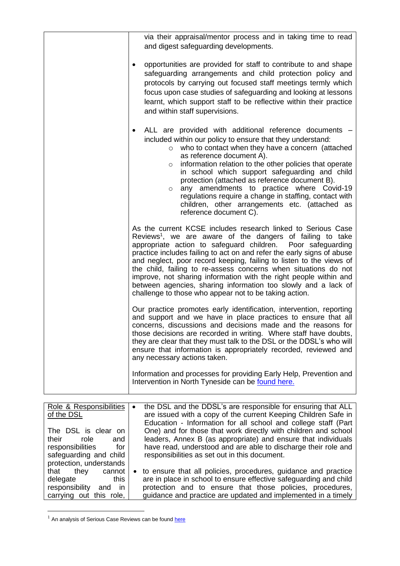| via their appraisal/mentor process and in taking time to read<br>and digest safeguarding developments.<br>opportunities are provided for staff to contribute to and shape<br>٠<br>safeguarding arrangements and child protection policy and                                                                                                                                                                                                                                                                                                                                                                               |
|---------------------------------------------------------------------------------------------------------------------------------------------------------------------------------------------------------------------------------------------------------------------------------------------------------------------------------------------------------------------------------------------------------------------------------------------------------------------------------------------------------------------------------------------------------------------------------------------------------------------------|
| protocols by carrying out focused staff meetings termly which<br>focus upon case studies of safeguarding and looking at lessons<br>learnt, which support staff to be reflective within their practice<br>and within staff supervisions.                                                                                                                                                                                                                                                                                                                                                                                   |
| ALL are provided with additional reference documents -<br>$\bullet$<br>included within our policy to ensure that they understand:<br>who to contact when they have a concern (attached<br>$\circ$<br>as reference document A).<br>information relation to the other policies that operate<br>$\circ$<br>in school which support safeguarding and child<br>protection (attached as reference document B).<br>any amendments to practice where Covid-19<br>$\circ$<br>regulations require a change in staffing, contact with<br>children, other arrangements etc. (attached as<br>reference document C).                    |
| As the current KCSE includes research linked to Serious Case<br>Reviews <sup>1</sup> , we are aware of the dangers of failing to take<br>appropriate action to safeguard children. Poor safeguarding<br>practice includes failing to act on and refer the early signs of abuse<br>and neglect, poor record keeping, failing to listen to the views of<br>the child, failing to re-assess concerns when situations do not<br>improve, not sharing information with the right people within and<br>between agencies, sharing information too slowly and a lack of<br>challenge to those who appear not to be taking action. |
| Our practice promotes early identification, intervention, reporting<br>and support and we have in place practices to ensure that all<br>concerns, discussions and decisions made and the reasons for<br>those decisions are recorded in writing. Where staff have doubts,<br>they are clear that they must talk to the DSL or the DDSL's who will<br>ensure that information is appropriately recorded, reviewed and<br>any necessary actions taken.                                                                                                                                                                      |
| Information and processes for providing Early Help, Prevention and<br>Intervention in North Tyneside can be found here.                                                                                                                                                                                                                                                                                                                                                                                                                                                                                                   |

| Role & Responsibilities  | $\bullet$ | the DSL and the DDSL's are responsible for ensuring that ALL      |
|--------------------------|-----------|-------------------------------------------------------------------|
| of the DSL               |           | are issued with a copy of the current Keeping Children Safe in    |
|                          |           | Education - Information for all school and college staff (Part    |
| The DSL is clear on      |           | One) and for those that work directly with children and school    |
| their<br>role<br>and     |           | leaders, Annex B (as appropriate) and ensure that individuals     |
| responsibilities<br>for  |           | have read, understood and are able to discharge their role and    |
| safeguarding and child   |           | responsibilities as set out in this document.                     |
| protection, understands  |           |                                                                   |
| that they<br>cannot      |           | • to ensure that all policies, procedures, guidance and practice  |
| this<br>delegate         |           | are in place in school to ensure effective safeguarding and child |
| responsibility<br>and in |           | protection and to ensure that those policies, procedures,         |
| carrying out this role,  |           | guidance and practice are updated and implemented in a timely     |

 $1$  An analysis of Serious Case Reviews can be found  $here$ </u>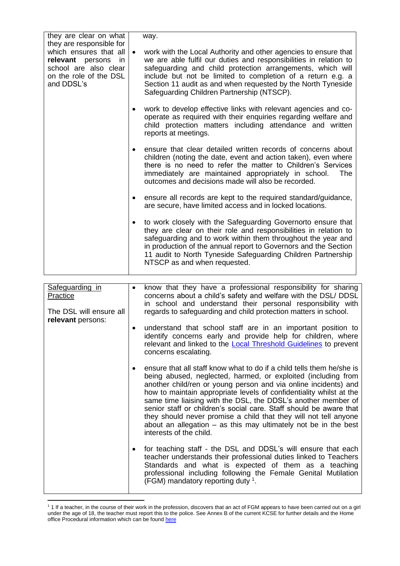| they are clear on what<br>they are responsible for<br>which ensures that all<br>relevant persons in<br>school are also clear<br>on the role of the DSL<br>and DDSL's | $\bullet$ | way.<br>work with the Local Authority and other agencies to ensure that<br>we are able fulfil our duties and responsibilities in relation to<br>safeguarding and child protection arrangements, which will<br>include but not be limited to completion of a return e.g. a<br>Section 11 audit as and when requested by the North Tyneside<br>Safeguarding Children Partnership (NTSCP). |
|----------------------------------------------------------------------------------------------------------------------------------------------------------------------|-----------|-----------------------------------------------------------------------------------------------------------------------------------------------------------------------------------------------------------------------------------------------------------------------------------------------------------------------------------------------------------------------------------------|
|                                                                                                                                                                      | $\bullet$ | work to develop effective links with relevant agencies and co-<br>operate as required with their enquiries regarding welfare and<br>child protection matters including attendance and written<br>reports at meetings.                                                                                                                                                                   |
|                                                                                                                                                                      | $\bullet$ | ensure that clear detailed written records of concerns about<br>children (noting the date, event and action taken), even where<br>there is no need to refer the matter to Children's Services<br>immediately are maintained appropriately in school.<br>The<br>outcomes and decisions made will also be recorded.                                                                       |
|                                                                                                                                                                      |           | ensure all records are kept to the required standard/guidance,<br>are secure, have limited access and in locked locations.                                                                                                                                                                                                                                                              |
|                                                                                                                                                                      | $\bullet$ | to work closely with the Safeguarding Governorto ensure that<br>they are clear on their role and responsibilities in relation to<br>safeguarding and to work within them throughout the year and<br>in production of the annual report to Governors and the Section<br>11 audit to North Tyneside Safeguarding Children Partnership<br>NTSCP as and when requested.                     |

| Safeguarding in<br>Practice<br>The DSL will ensure all<br>relevant persons: | know that they have a professional responsibility for sharing<br>concerns about a child's safety and welfare with the DSL/ DDSL<br>in school and understand their personal responsibility with<br>regards to safeguarding and child protection matters in school.                                                                                                                                                                                                                                                                                                                           |
|-----------------------------------------------------------------------------|---------------------------------------------------------------------------------------------------------------------------------------------------------------------------------------------------------------------------------------------------------------------------------------------------------------------------------------------------------------------------------------------------------------------------------------------------------------------------------------------------------------------------------------------------------------------------------------------|
|                                                                             | understand that school staff are in an important position to<br>identify concerns early and provide help for children, where<br>relevant and linked to the <b>Local Threshold Guidelines</b> to prevent<br>concerns escalating.                                                                                                                                                                                                                                                                                                                                                             |
|                                                                             | ensure that all staff know what to do if a child tells them he/she is<br>being abused, neglected, harmed, or exploited (including from<br>another child/ren or young person and via online incidents) and<br>how to maintain appropriate levels of confidentiality whilst at the<br>same time liaising with the DSL, the DDSL's another member of<br>senior staff or children's social care. Staff should be aware that<br>they should never promise a child that they will not tell anyone<br>about an allegation $-$ as this may ultimately not be in the best<br>interests of the child. |
|                                                                             | for teaching staff - the DSL and DDSL's will ensure that each<br>teacher understands their professional duties linked to Teachers<br>Standards and what is expected of them as a teaching<br>professional including following the Female Genital Mutilation<br>(FGM) mandatory reporting duty <sup>1</sup> .                                                                                                                                                                                                                                                                                |

<sup>&</sup>lt;sup>1</sup> 1 If a teacher, in the course of their work in the profession, discovers that an act of FGM appears to have been carried out on a girl under the age of 18, the teacher must report this to the police. See Annex B of the current KCSE for further details and the Home office Procedural information which can be found [here](https://assets.publishing.service.gov.uk/government/uploads/system/uploads/attachment_data/file/573782/FGM_Mandatory_Reporting_-_procedural_information_nov16_FINAL.pdf)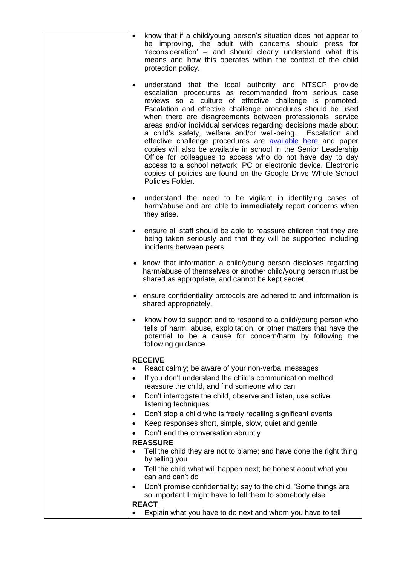| know that if a child/young person's situation does not appear to<br>$\bullet$<br>be improving, the adult with concerns should press for<br>'reconsideration' – and should clearly understand what this<br>means and how this operates within the context of the child<br>protection policy.                                                                                                                                                                                                                                                                                                                                                                                                                                                                                                                       |
|-------------------------------------------------------------------------------------------------------------------------------------------------------------------------------------------------------------------------------------------------------------------------------------------------------------------------------------------------------------------------------------------------------------------------------------------------------------------------------------------------------------------------------------------------------------------------------------------------------------------------------------------------------------------------------------------------------------------------------------------------------------------------------------------------------------------|
| understand that the local authority and NTSCP provide<br>٠<br>escalation procedures as recommended from serious case<br>reviews so a culture of effective challenge is promoted.<br>Escalation and effective challenge procedures should be used<br>when there are disagreements between professionals, service<br>areas and/or individual services regarding decisions made about<br>a child's safety, welfare and/or well-being. Escalation and<br>effective challenge procedures are <b>available here</b> and paper<br>copies will also be available in school in the Senior Leadership<br>Office for colleagues to access who do not have day to day<br>access to a school network, PC or electronic device. Electronic<br>copies of policies are found on the Google Drive Whole School<br>Policies Folder. |
| understand the need to be vigilant in identifying cases of<br>$\bullet$<br>harm/abuse and are able to immediately report concerns when<br>they arise.                                                                                                                                                                                                                                                                                                                                                                                                                                                                                                                                                                                                                                                             |
| ensure all staff should be able to reassure children that they are<br>being taken seriously and that they will be supported including<br>incidents between peers.                                                                                                                                                                                                                                                                                                                                                                                                                                                                                                                                                                                                                                                 |
| know that information a child/young person discloses regarding<br>harm/abuse of themselves or another child/young person must be<br>shared as appropriate, and cannot be kept secret.                                                                                                                                                                                                                                                                                                                                                                                                                                                                                                                                                                                                                             |
| • ensure confidentiality protocols are adhered to and information is<br>shared appropriately.                                                                                                                                                                                                                                                                                                                                                                                                                                                                                                                                                                                                                                                                                                                     |
| know how to support and to respond to a child/young person who<br>tells of harm, abuse, exploitation, or other matters that have the<br>potential to be a cause for concern/harm by following the<br>following guidance.                                                                                                                                                                                                                                                                                                                                                                                                                                                                                                                                                                                          |
| <b>RECEIVE</b>                                                                                                                                                                                                                                                                                                                                                                                                                                                                                                                                                                                                                                                                                                                                                                                                    |
| React calmly; be aware of your non-verbal messages                                                                                                                                                                                                                                                                                                                                                                                                                                                                                                                                                                                                                                                                                                                                                                |
| If you don't understand the child's communication method,<br>$\bullet$<br>reassure the child, and find someone who can                                                                                                                                                                                                                                                                                                                                                                                                                                                                                                                                                                                                                                                                                            |
| Don't interrogate the child, observe and listen, use active<br>$\bullet$<br>listening techniques                                                                                                                                                                                                                                                                                                                                                                                                                                                                                                                                                                                                                                                                                                                  |
| Don't stop a child who is freely recalling significant events<br>٠                                                                                                                                                                                                                                                                                                                                                                                                                                                                                                                                                                                                                                                                                                                                                |
| Keep responses short, simple, slow, quiet and gentle<br>٠                                                                                                                                                                                                                                                                                                                                                                                                                                                                                                                                                                                                                                                                                                                                                         |
| Don't end the conversation abruptly                                                                                                                                                                                                                                                                                                                                                                                                                                                                                                                                                                                                                                                                                                                                                                               |
| <b>REASSURE</b><br>Tell the child they are not to blame; and have done the right thing<br>٠                                                                                                                                                                                                                                                                                                                                                                                                                                                                                                                                                                                                                                                                                                                       |
| by telling you                                                                                                                                                                                                                                                                                                                                                                                                                                                                                                                                                                                                                                                                                                                                                                                                    |
| Tell the child what will happen next; be honest about what you<br>$\bullet$<br>can and can't do                                                                                                                                                                                                                                                                                                                                                                                                                                                                                                                                                                                                                                                                                                                   |
| Don't promise confidentiality; say to the child, 'Some things are<br>$\bullet$<br>so important I might have to tell them to somebody else'                                                                                                                                                                                                                                                                                                                                                                                                                                                                                                                                                                                                                                                                        |
| <b>REACT</b><br>Explain what you have to do next and whom you have to tell                                                                                                                                                                                                                                                                                                                                                                                                                                                                                                                                                                                                                                                                                                                                        |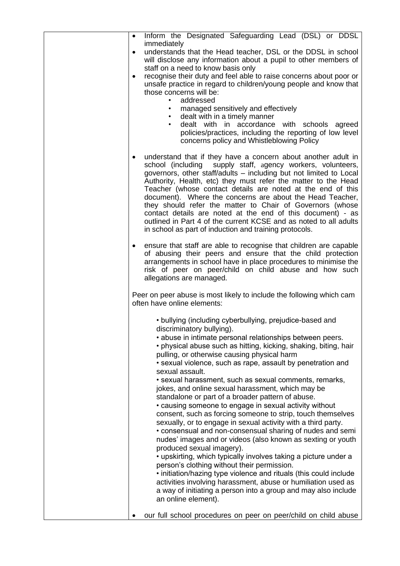| Inform the Designated Safeguarding Lead (DSL) or DDSL<br>$\bullet$                                                                                                                                                                                                                                                                                                                                                                                                                                                                                                                                                                                          |
|-------------------------------------------------------------------------------------------------------------------------------------------------------------------------------------------------------------------------------------------------------------------------------------------------------------------------------------------------------------------------------------------------------------------------------------------------------------------------------------------------------------------------------------------------------------------------------------------------------------------------------------------------------------|
| immediately<br>understands that the Head teacher, DSL or the DDSL in school<br>$\bullet$                                                                                                                                                                                                                                                                                                                                                                                                                                                                                                                                                                    |
| will disclose any information about a pupil to other members of<br>staff on a need to know basis only                                                                                                                                                                                                                                                                                                                                                                                                                                                                                                                                                       |
| recognise their duty and feel able to raise concerns about poor or<br>$\bullet$                                                                                                                                                                                                                                                                                                                                                                                                                                                                                                                                                                             |
| unsafe practice in regard to children/young people and know that<br>those concerns will be:                                                                                                                                                                                                                                                                                                                                                                                                                                                                                                                                                                 |
| addressed<br>$\bullet$                                                                                                                                                                                                                                                                                                                                                                                                                                                                                                                                                                                                                                      |
| managed sensitively and effectively<br>٠<br>dealt with in a timely manner<br>$\bullet$                                                                                                                                                                                                                                                                                                                                                                                                                                                                                                                                                                      |
| dealt with in accordance with schools agreed<br>$\bullet$<br>policies/practices, including the reporting of low level                                                                                                                                                                                                                                                                                                                                                                                                                                                                                                                                       |
| concerns policy and Whistleblowing Policy                                                                                                                                                                                                                                                                                                                                                                                                                                                                                                                                                                                                                   |
| understand that if they have a concern about another adult in<br>school (including supply staff, agency workers, volunteers,<br>governors, other staff/adults - including but not limited to Local<br>Authority, Health, etc) they must refer the matter to the Head<br>Teacher (whose contact details are noted at the end of this<br>document). Where the concerns are about the Head Teacher,<br>they should refer the matter to Chair of Governors (whose<br>contact details are noted at the end of this document) - as<br>outlined in Part 4 of the current KCSE and as noted to all adults<br>in school as part of induction and training protocols. |
| ensure that staff are able to recognise that children are capable<br>٠<br>of abusing their peers and ensure that the child protection<br>arrangements in school have in place procedures to minimise the<br>risk of peer on peer/child on child abuse and how such<br>allegations are managed.                                                                                                                                                                                                                                                                                                                                                              |
| Peer on peer abuse is most likely to include the following which cam<br>often have online elements:                                                                                                                                                                                                                                                                                                                                                                                                                                                                                                                                                         |
| • bullying (including cyberbullying, prejudice-based and<br>discriminatory bullying).                                                                                                                                                                                                                                                                                                                                                                                                                                                                                                                                                                       |
| • abuse in intimate personal relationships between peers.                                                                                                                                                                                                                                                                                                                                                                                                                                                                                                                                                                                                   |
| • physical abuse such as hitting, kicking, shaking, biting, hair<br>pulling, or otherwise causing physical harm                                                                                                                                                                                                                                                                                                                                                                                                                                                                                                                                             |
| • sexual violence, such as rape, assault by penetration and<br>sexual assault.                                                                                                                                                                                                                                                                                                                                                                                                                                                                                                                                                                              |
| · sexual harassment, such as sexual comments, remarks,                                                                                                                                                                                                                                                                                                                                                                                                                                                                                                                                                                                                      |
| jokes, and online sexual harassment, which may be<br>standalone or part of a broader pattern of abuse.                                                                                                                                                                                                                                                                                                                                                                                                                                                                                                                                                      |
| • causing someone to engage in sexual activity without                                                                                                                                                                                                                                                                                                                                                                                                                                                                                                                                                                                                      |
| consent, such as forcing someone to strip, touch themselves<br>sexually, or to engage in sexual activity with a third party.                                                                                                                                                                                                                                                                                                                                                                                                                                                                                                                                |
| • consensual and non-consensual sharing of nudes and semi<br>nudes' images and or videos (also known as sexting or youth                                                                                                                                                                                                                                                                                                                                                                                                                                                                                                                                    |
| produced sexual imagery).                                                                                                                                                                                                                                                                                                                                                                                                                                                                                                                                                                                                                                   |
| • upskirting, which typically involves taking a picture under a<br>person's clothing without their permission.                                                                                                                                                                                                                                                                                                                                                                                                                                                                                                                                              |
| . initiation/hazing type violence and rituals (this could include<br>activities involving harassment, abuse or humiliation used as                                                                                                                                                                                                                                                                                                                                                                                                                                                                                                                          |
| a way of initiating a person into a group and may also include                                                                                                                                                                                                                                                                                                                                                                                                                                                                                                                                                                                              |
| an online element).                                                                                                                                                                                                                                                                                                                                                                                                                                                                                                                                                                                                                                         |
| our full school procedures on peer on peer/child on child abuse                                                                                                                                                                                                                                                                                                                                                                                                                                                                                                                                                                                             |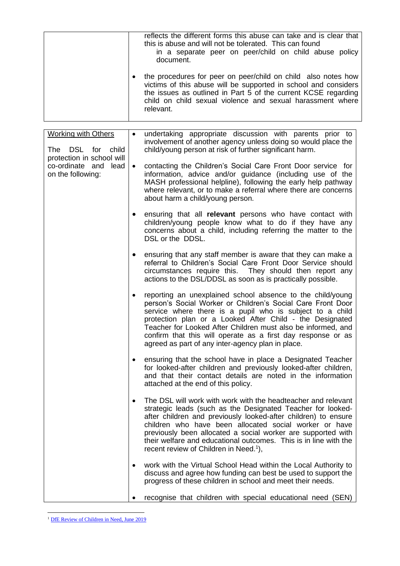| reflects the different forms this abuse can take and is clear that<br>this is abuse and will not be tolerated. This can found<br>in a separate peer on peer/child on child abuse policy<br>document.                                                                          |
|-------------------------------------------------------------------------------------------------------------------------------------------------------------------------------------------------------------------------------------------------------------------------------|
| the procedures for peer on peer/child on child also notes how<br>victims of this abuse will be supported in school and considers<br>the issues as outlined in Part 5 of the current KCSE regarding<br>child on child sexual violence and sexual harassment where<br>relevant. |

| <b>Working with Others</b><br>DSL for child<br>The                        | $\bullet$ | undertaking appropriate discussion with parents prior to<br>involvement of another agency unless doing so would place the<br>child/young person at risk of further significant harm.                                                                                                                                                                                                                                                               |
|---------------------------------------------------------------------------|-----------|----------------------------------------------------------------------------------------------------------------------------------------------------------------------------------------------------------------------------------------------------------------------------------------------------------------------------------------------------------------------------------------------------------------------------------------------------|
| protection in school will<br>co-ordinate and<br>lead<br>on the following: | $\bullet$ | contacting the Children's Social Care Front Door service for<br>information, advice and/or guidance (including use of the<br>MASH professional helpline), following the early help pathway<br>where relevant, or to make a referral where there are concerns<br>about harm a child/young person.                                                                                                                                                   |
|                                                                           |           | ensuring that all relevant persons who have contact with<br>children/young people know what to do if they have any<br>concerns about a child, including referring the matter to the<br>DSL or the DDSL.                                                                                                                                                                                                                                            |
|                                                                           | $\bullet$ | ensuring that any staff member is aware that they can make a<br>referral to Children's Social Care Front Door Service should<br>circumstances require this. They should then report any<br>actions to the DSL/DDSL as soon as is practically possible.                                                                                                                                                                                             |
|                                                                           | $\bullet$ | reporting an unexplained school absence to the child/young<br>person's Social Worker or Children's Social Care Front Door<br>service where there is a pupil who is subject to a child<br>protection plan or a Looked After Child - the Designated<br>Teacher for Looked After Children must also be informed, and<br>confirm that this will operate as a first day response or as<br>agreed as part of any inter-agency plan in place.             |
|                                                                           | $\bullet$ | ensuring that the school have in place a Designated Teacher<br>for looked-after children and previously looked-after children,<br>and that their contact details are noted in the information<br>attached at the end of this policy.                                                                                                                                                                                                               |
|                                                                           | $\bullet$ | The DSL will work with work with the headteacher and relevant<br>strategic leads (such as the Designated Teacher for looked-<br>after children and previously looked-after children) to ensure<br>children who have been allocated social worker or have<br>previously been allocated a social worker are supported with<br>their welfare and educational outcomes. This is in line with the<br>recent review of Children in Need. <sup>1</sup> ), |
|                                                                           |           | work with the Virtual School Head within the Local Authority to<br>discuss and agree how funding can best be used to support the<br>progress of these children in school and meet their needs.                                                                                                                                                                                                                                                     |
|                                                                           |           | recognise that children with special educational need (SEN)                                                                                                                                                                                                                                                                                                                                                                                        |

<sup>&</sup>lt;sup>1</sup> [DfE Review of Children in Need, June 2019](https://www.gov.uk/government/publications/review-of-children-in-need/review-of-children-in-need)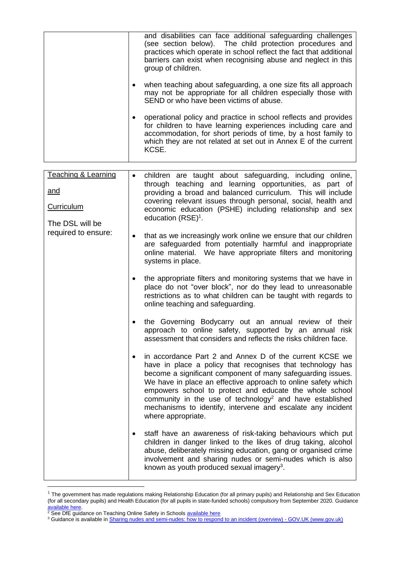|   | and disabilities can face additional safeguarding challenges<br>(see section below). The child protection procedures and<br>practices which operate in school reflect the fact that additional<br>barriers can exist when recognising abuse and neglect in this<br>group of children. |
|---|---------------------------------------------------------------------------------------------------------------------------------------------------------------------------------------------------------------------------------------------------------------------------------------|
| ٠ | when teaching about safeguarding, a one size fits all approach<br>may not be appropriate for all children especially those with<br>SEND or who have been victims of abuse.                                                                                                            |
|   | operational policy and practice in school reflects and provides<br>for children to have learning experiences including care and<br>accommodation, for short periods of time, by a host family to<br>which they are not related at set out in Annex E of the current<br>KCSE.          |

| <b>Teaching &amp; Learning</b><br><u>and</u><br><b>Curriculum</b><br>The DSL will be | $\bullet$ | children are taught about safeguarding, including online,<br>through teaching and learning opportunities, as part of<br>providing a broad and balanced curriculum. This will include<br>covering relevant issues through personal, social, health and<br>economic education (PSHE) including relationship and sex<br>education (RSE) <sup>1</sup> .                                                                                                                           |
|--------------------------------------------------------------------------------------|-----------|-------------------------------------------------------------------------------------------------------------------------------------------------------------------------------------------------------------------------------------------------------------------------------------------------------------------------------------------------------------------------------------------------------------------------------------------------------------------------------|
| required to ensure:                                                                  | $\bullet$ | that as we increasingly work online we ensure that our children<br>are safeguarded from potentially harmful and inappropriate<br>online material. We have appropriate filters and monitoring<br>systems in place.                                                                                                                                                                                                                                                             |
|                                                                                      |           | the appropriate filters and monitoring systems that we have in<br>place do not "over block", nor do they lead to unreasonable<br>restrictions as to what children can be taught with regards to<br>online teaching and safeguarding.                                                                                                                                                                                                                                          |
|                                                                                      |           | the Governing Bodycarry out an annual review of their<br>approach to online safety, supported by an annual risk<br>assessment that considers and reflects the risks children face.                                                                                                                                                                                                                                                                                            |
|                                                                                      | $\bullet$ | in accordance Part 2 and Annex D of the current KCSE we<br>have in place a policy that recognises that technology has<br>become a significant component of many safeguarding issues.<br>We have in place an effective approach to online safety which<br>empowers school to protect and educate the whole school<br>community in the use of technology <sup>2</sup> and have established<br>mechanisms to identify, intervene and escalate any incident<br>where appropriate. |
|                                                                                      | $\bullet$ | staff have an awareness of risk-taking behaviours which put<br>children in danger linked to the likes of drug taking, alcohol<br>abuse, deliberately missing education, gang or organised crime<br>involvement and sharing nudes or semi-nudes which is also<br>known as youth produced sexual imagery <sup>3</sup> .                                                                                                                                                         |

 $1$  The government has made regulations making Relationship Education (for all primary pupils) and Relationship and Sex Education (for all secondary pupils) and Health Education (for all pupils in state-funded schools) compulsory from September 2020. Guidance [available here.](https://www.gov.uk/government/publications/relationships-education-relationships-and-sex-education-rse-and-health-education/implementation-of-relationships-education-relationships-and-sex-education-and-health-education-2020-to-2021)

<sup>&</sup>lt;sup>2</sup> See DfE guidance on Teaching Online Safety in Schools **available here** 

<sup>&</sup>lt;sup>3</sup> Guidance is available in <u>Sharing nudes and semi-nudes: how to respond to an incident (overview) - GOV.UK (www.gov.uk)</u>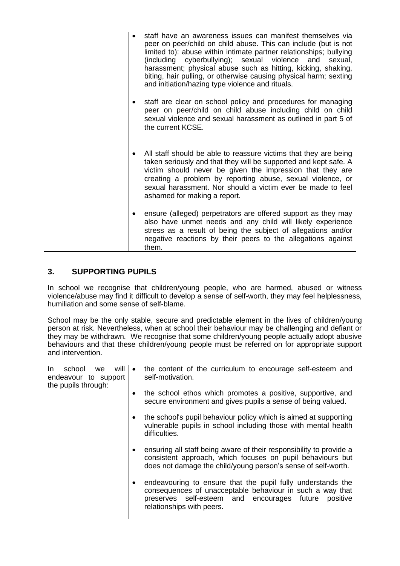|  | staff have an awareness issues can manifest themselves via<br>peer on peer/child on child abuse. This can include (but is not<br>limited to): abuse within intimate partner relationships; bullying<br>(including cyberbullying); sexual violence and sexual,<br>harassment; physical abuse such as hitting, kicking, shaking,<br>biting, hair pulling, or otherwise causing physical harm; sexting<br>and initiation/hazing type violence and rituals. |
|--|---------------------------------------------------------------------------------------------------------------------------------------------------------------------------------------------------------------------------------------------------------------------------------------------------------------------------------------------------------------------------------------------------------------------------------------------------------|
|  | staff are clear on school policy and procedures for managing<br>peer on peer/child on child abuse including child on child<br>sexual violence and sexual harassment as outlined in part 5 of<br>the current KCSE.                                                                                                                                                                                                                                       |
|  | All staff should be able to reassure victims that they are being<br>taken seriously and that they will be supported and kept safe. A<br>victim should never be given the impression that they are<br>creating a problem by reporting abuse, sexual violence, or<br>sexual harassment. Nor should a victim ever be made to feel<br>ashamed for making a report.                                                                                          |
|  | ensure (alleged) perpetrators are offered support as they may<br>also have unmet needs and any child will likely experience<br>stress as a result of being the subject of allegations and/or<br>negative reactions by their peers to the allegations against<br>them.                                                                                                                                                                                   |

# **3. SUPPORTING PUPILS**

In school we recognise that children/young people, who are harmed, abused or witness violence/abuse may find it difficult to develop a sense of self-worth, they may feel helplessness, humiliation and some sense of self-blame.

School may be the only stable, secure and predictable element in the lives of children/young person at risk. Nevertheless, when at school their behaviour may be challenging and defiant or they may be withdrawn. We recognise that some children/young people actually adopt abusive behaviours and that these children/young people must be referred on for appropriate support and intervention.

| will<br>In.<br>school<br>we | $\bullet$ | the content of the curriculum to encourage self-esteem and          |
|-----------------------------|-----------|---------------------------------------------------------------------|
| endeavour to support        |           | self-motivation.                                                    |
|                             |           |                                                                     |
| the pupils through:         |           |                                                                     |
|                             | ٠         | the school ethos which promotes a positive, supportive, and         |
|                             |           |                                                                     |
|                             |           | secure environment and gives pupils a sense of being valued.        |
|                             |           |                                                                     |
|                             | ٠         | the school's pupil behaviour policy which is aimed at supporting    |
|                             |           |                                                                     |
|                             |           | vulnerable pupils in school including those with mental health      |
|                             |           | difficulties.                                                       |
|                             |           |                                                                     |
|                             |           |                                                                     |
|                             | ٠         | ensuring all staff being aware of their responsibility to provide a |
|                             |           | consistent approach, which focuses on pupil behaviours but          |
|                             |           |                                                                     |
|                             |           | does not damage the child/young person's sense of self-worth.       |
|                             |           |                                                                     |
|                             |           |                                                                     |
|                             | ٠         | endeavouring to ensure that the pupil fully understands the         |
|                             |           | consequences of unacceptable behaviour in such a way that           |
|                             |           | preserves self-esteem and encourages future<br>positive             |
|                             |           |                                                                     |
|                             |           | relationships with peers.                                           |
|                             |           |                                                                     |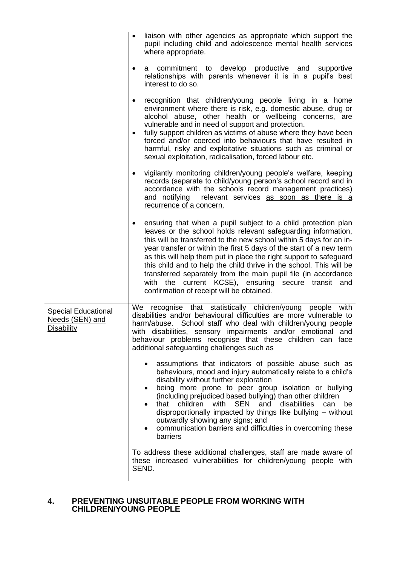|                                                                    | liaison with other agencies as appropriate which support the<br>$\bullet$<br>pupil including child and adolescence mental health services<br>where appropriate.                                                                                                                                                                                                                                                                                                                                                                                                                                      |
|--------------------------------------------------------------------|------------------------------------------------------------------------------------------------------------------------------------------------------------------------------------------------------------------------------------------------------------------------------------------------------------------------------------------------------------------------------------------------------------------------------------------------------------------------------------------------------------------------------------------------------------------------------------------------------|
|                                                                    | commitment to develop productive and supportive<br>a<br>$\bullet$<br>relationships with parents whenever it is in a pupil's best<br>interest to do so.                                                                                                                                                                                                                                                                                                                                                                                                                                               |
|                                                                    | recognition that children/young people living in a home<br>$\bullet$<br>environment where there is risk, e.g. domestic abuse, drug or<br>alcohol abuse, other health or wellbeing concerns, are<br>vulnerable and in need of support and protection.                                                                                                                                                                                                                                                                                                                                                 |
|                                                                    | fully support children as victims of abuse where they have been<br>$\bullet$<br>forced and/or coerced into behaviours that have resulted in<br>harmful, risky and exploitative situations such as criminal or<br>sexual exploitation, radicalisation, forced labour etc.                                                                                                                                                                                                                                                                                                                             |
|                                                                    | vigilantly monitoring children/young people's welfare, keeping<br>$\bullet$<br>records (separate to child/young person's school record and in<br>accordance with the schools record management practices)<br>and notifying relevant services as soon as there is a<br>recurrence of a concern.                                                                                                                                                                                                                                                                                                       |
|                                                                    | ensuring that when a pupil subject to a child protection plan<br>٠<br>leaves or the school holds relevant safeguarding information,<br>this will be transferred to the new school within 5 days for an in-<br>year transfer or within the first 5 days of the start of a new term<br>as this will help them put in place the right support to safeguard<br>this child and to help the child thrive in the school. This will be<br>transferred separately from the main pupil file (in accordance<br>with the current KCSE), ensuring secure transit and<br>confirmation of receipt will be obtained. |
| <b>Special Educational</b><br>Needs (SEN) and<br><b>Disability</b> | We recognise that statistically children/young<br>people with<br>disabilities and/or behavioural difficulties are more vulnerable to<br>harm/abuse. School staff who deal with children/young people<br>with disabilities, sensory impairments and/or emotional and<br>behaviour problems recognise that these children can face<br>additional safeguarding challenges such as                                                                                                                                                                                                                       |
|                                                                    | assumptions that indicators of possible abuse such as<br>$\bullet$<br>behaviours, mood and injury automatically relate to a child's<br>disability without further exploration<br>being more prone to peer group isolation or bullying<br>(including prejudiced based bullying) than other children<br><b>SEN</b><br>that children<br>with<br>and<br>disabilities<br>can<br>be<br>disproportionally impacted by things like bullying - without<br>outwardly showing any signs; and<br>communication barriers and difficulties in overcoming these<br>barriers                                         |
|                                                                    | To address these additional challenges, staff are made aware of<br>these increased vulnerabilities for children/young people with<br>SEND.                                                                                                                                                                                                                                                                                                                                                                                                                                                           |

# **4. PREVENTING UNSUITABLE PEOPLE FROM WORKING WITH CHILDREN/YOUNG PEOPLE**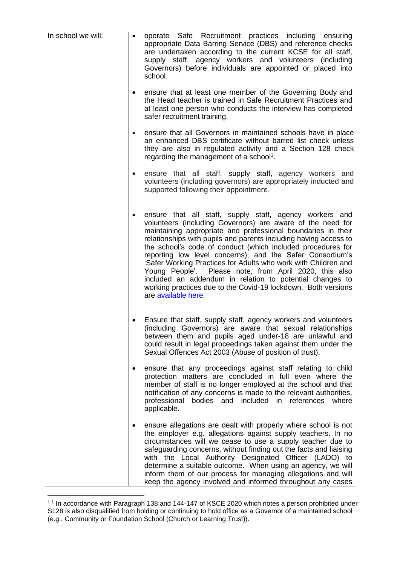| In school we will: | $\bullet$ | operate Safe Recruitment practices including ensuring                                                                                                                                                                                                                                                                                                                                                                                                                                                                                                                                                                                                                 |
|--------------------|-----------|-----------------------------------------------------------------------------------------------------------------------------------------------------------------------------------------------------------------------------------------------------------------------------------------------------------------------------------------------------------------------------------------------------------------------------------------------------------------------------------------------------------------------------------------------------------------------------------------------------------------------------------------------------------------------|
|                    |           | appropriate Data Barring Service (DBS) and reference checks<br>are undertaken according to the current KCSE for all staff,<br>supply staff, agency workers and volunteers (including<br>Governors) before individuals are appointed or placed into<br>school.                                                                                                                                                                                                                                                                                                                                                                                                         |
|                    |           | ensure that at least one member of the Governing Body and<br>the Head teacher is trained in Safe Recruitment Practices and<br>at least one person who conducts the interview has completed<br>safer recruitment training.                                                                                                                                                                                                                                                                                                                                                                                                                                             |
|                    | $\bullet$ | ensure that all Governors in maintained schools have in place<br>an enhanced DBS certificate without barred list check unless<br>they are also in regulated activity and a Section 128 check<br>regarding the management of a school <sup>1</sup> .                                                                                                                                                                                                                                                                                                                                                                                                                   |
|                    | $\bullet$ | ensure that all staff, supply staff, agency workers and<br>volunteers (including governors) are appropriately inducted and<br>supported following their appointment.                                                                                                                                                                                                                                                                                                                                                                                                                                                                                                  |
|                    |           | ensure that all staff, supply staff, agency workers and<br>volunteers (including Governors) are aware of the need for<br>maintaining appropriate and professional boundaries in their<br>relationships with pupils and parents including having access to<br>the school's code of conduct (which included procedures for<br>reporting low level concerns), and the Safer Consortium's<br>'Safer Working Practices for Adults who work with Children and<br>Young People'. Please note, from April 2020, this also<br>included an addendum in relation to potential changes to<br>working practices due to the Covid-19 lockdown. Both versions<br>are available here. |
|                    |           | Ensure that staff, supply staff, agency workers and volunteers<br>(including Governors) are aware that sexual relationships<br>between them and pupils aged under-18 are unlawful and<br>could result in legal proceedings taken against them under the<br>Sexual Offences Act 2003 (Abuse of position of trust).                                                                                                                                                                                                                                                                                                                                                     |
|                    |           | ensure that any proceedings against staff relating to child<br>protection matters are concluded in full even where the<br>member of staff is no longer employed at the school and that<br>notification of any concerns is made to the relevant authorities,<br>bodies and included in references<br>professional<br>where<br>applicable.                                                                                                                                                                                                                                                                                                                              |
|                    |           | ensure allegations are dealt with properly where school is not<br>the employer e.g. allegations against supply teachers. In no<br>circumstances will we cease to use a supply teacher due to<br>safeguarding concerns, without finding out the facts and liaising<br>with the Local Authority Designated Officer (LADO) to<br>determine a suitable outcome. When using an agency, we will<br>inform them of our process for managing allegations and will<br>keep the agency involved and informed throughout any cases                                                                                                                                               |

 $11$  In accordance with Paragraph 138 and 144-147 of KSCE 2020 which notes a person prohibited under S128 is also disqualified from holding or continuing to hold office as a Governor of a maintained school (e.g., Community or Foundation School (Church or Learning Trust)).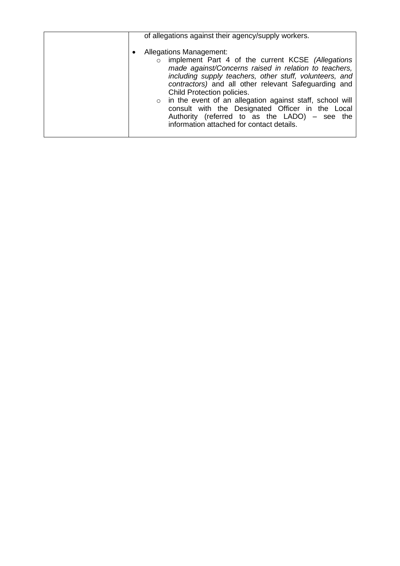| <b>Allegations Management:</b><br>implement Part 4 of the current KCSE (Allegations<br>$\circ$<br>made against/Concerns raised in relation to teachers,<br>including supply teachers, other stuff, volunteers, and<br>contractors) and all other relevant Safeguarding and<br>Child Protection policies.<br>o in the event of an allegation against staff, school will<br>consult with the Designated Officer in the Local<br>Authority (referred to as the LADO) - see the<br>information attached for contact details. | of allegations against their agency/supply workers. |
|--------------------------------------------------------------------------------------------------------------------------------------------------------------------------------------------------------------------------------------------------------------------------------------------------------------------------------------------------------------------------------------------------------------------------------------------------------------------------------------------------------------------------|-----------------------------------------------------|
|                                                                                                                                                                                                                                                                                                                                                                                                                                                                                                                          |                                                     |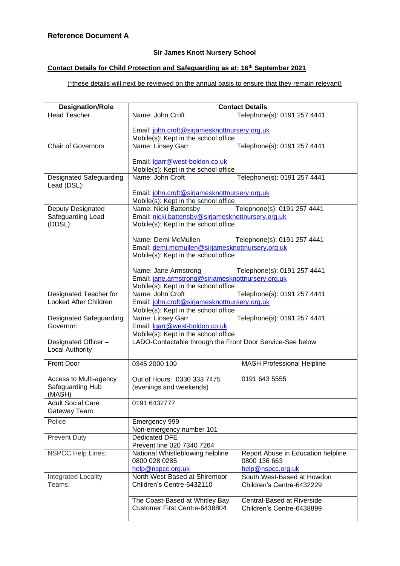# **Sir James Knott Nursery School**

# **Contact Details for Child Protection and Safeguarding as at: 16th September 2021**

# (\*these details will next be reviewed on the annual basis to ensure that they remain relevant)

| <b>Designation/Role</b>                    | <b>Contact Details</b>                                    |                                    |  |  |
|--------------------------------------------|-----------------------------------------------------------|------------------------------------|--|--|
| <b>Head Teacher</b>                        | Name: John Croft                                          | Telephone(s): 0191 257 4441        |  |  |
|                                            |                                                           |                                    |  |  |
|                                            | Email: john.croft@sirjamesknottnursery.org.uk             |                                    |  |  |
|                                            | Mobile(s): Kept in the school office                      |                                    |  |  |
| <b>Chair of Governors</b>                  | Name: Linsey Garr                                         | Telephone(s): 0191 257 4441        |  |  |
|                                            |                                                           |                                    |  |  |
|                                            | Email: Igarr@west-boldon.co.uk                            |                                    |  |  |
|                                            | Mobile(s): Kept in the school office                      |                                    |  |  |
| Designated Safeguarding<br>Lead (DSL):     | Name: John Croft                                          | Telephone(s): 0191 257 4441        |  |  |
|                                            | Email: john.croft@sirjamesknottnursery.org.uk             |                                    |  |  |
|                                            | Mobile(s): Kept in the school office                      |                                    |  |  |
| Deputy Designated                          | Name: Nicki Battensby                                     | Telephone(s): 0191 257 4441        |  |  |
| Safeguarding Lead                          | Email: nicki.battensby@sirjamesknottnursery.org.uk        |                                    |  |  |
| (DDSL):                                    | Mobile(s): Kept in the school office                      |                                    |  |  |
|                                            | Name: Demi McMullen                                       |                                    |  |  |
|                                            | Email: demi.mcmullen@sirjamesknottnursery.org.uk          | Telephone(s): 0191 257 4441        |  |  |
|                                            | Mobile(s): Kept in the school office                      |                                    |  |  |
|                                            |                                                           |                                    |  |  |
|                                            | Name: Jane Armstrong                                      | Telephone(s): 0191 257 4441        |  |  |
|                                            | Email: jane.armstrong@sirjamesknottnursery.org.uk         |                                    |  |  |
|                                            | Mobile(s): Kept in the school office                      |                                    |  |  |
| Designated Teacher for                     | Name: John Croft                                          | Telephone(s): 0191 257 4441        |  |  |
| Looked After Children                      | Email: john.croft@sirjamesknottnursery.org.uk             |                                    |  |  |
|                                            | Mobile(s): Kept in the school office                      |                                    |  |  |
| Designated Safeguarding                    | Name: Linsey Garr<br>Telephone(s): 0191 257 4441          |                                    |  |  |
| Governor:                                  | Email: Igarr@west-boldon.co.uk                            |                                    |  |  |
|                                            | Mobile(s): Kept in the school office                      |                                    |  |  |
| Designated Officer-                        | LADO-Contactable through the Front Door Service-See below |                                    |  |  |
| <b>Local Authority</b>                     |                                                           |                                    |  |  |
|                                            |                                                           |                                    |  |  |
| <b>Front Door</b>                          | 0345 2000 109                                             | <b>MASH Professional Helpline</b>  |  |  |
|                                            |                                                           | 0191 643 5555                      |  |  |
| Access to Multi-agency<br>Safeguarding Hub | Out of Hours: 0330 333 7475                               |                                    |  |  |
| (MASH)                                     | (evenings and weekends)                                   |                                    |  |  |
| <b>Adult Social Care</b>                   | 0191 6432777                                              |                                    |  |  |
| Gateway Team                               |                                                           |                                    |  |  |
| Police                                     | Emergency 999                                             |                                    |  |  |
|                                            | Non-emergency number 101                                  |                                    |  |  |
| <b>Prevent Duty</b>                        | <b>Dedicated DFE</b>                                      |                                    |  |  |
|                                            | Prevent line 020 7340 7264                                |                                    |  |  |
| <b>NSPCC Help Lines:</b>                   | National Whistleblowing helpline                          | Report Abuse in Education helpline |  |  |
|                                            | 0800 028 0285                                             | 0800 136 663                       |  |  |
|                                            | help@nspcc.org.uk                                         | help@nspcc.org.uk                  |  |  |
| Integrated Locality                        | North West-Based at Shiremoor                             | South West-Based at Howdon         |  |  |
| Teams:                                     | Children's Centre-6432110                                 | Children's Centre-6432229          |  |  |
|                                            |                                                           |                                    |  |  |
|                                            | The Coast-Based at Whitley Bay                            | Central-Based at Riverside         |  |  |
|                                            | Customer First Centre-6438804                             | Children's Centre-6438899          |  |  |
|                                            |                                                           |                                    |  |  |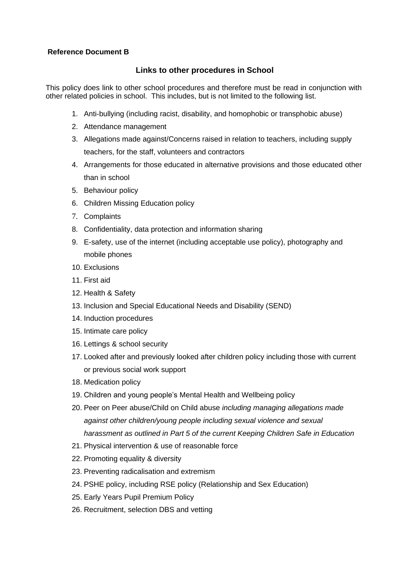# **Reference Document B**

# **Links to other procedures in School**

This policy does link to other school procedures and therefore must be read in conjunction with other related policies in school. This includes, but is not limited to the following list.

- 1. Anti-bullying (including racist, disability, and homophobic or transphobic abuse)
- 2. Attendance management
- 3. Allegations made against/Concerns raised in relation to teachers, including supply teachers, for the staff, volunteers and contractors
- 4. Arrangements for those educated in alternative provisions and those educated other than in school
- 5. Behaviour policy
- 6. Children Missing Education policy
- 7. Complaints
- 8. Confidentiality, data protection and information sharing
- 9. E-safety, use of the internet (including acceptable use policy), photography and mobile phones
- 10. Exclusions
- 11. First aid
- 12. Health & Safety
- 13. Inclusion and Special Educational Needs and Disability (SEND)
- 14. Induction procedures
- 15. Intimate care policy
- 16. Lettings & school security
- 17. Looked after and previously looked after children policy including those with current or previous social work support
- 18. Medication policy
- 19. Children and young people's Mental Health and Wellbeing policy
- 20. Peer on Peer abuse/Child on Child abuse *including managing allegations made against other children/young people including sexual violence and sexual harassment as outlined in Part 5 of the current Keeping Children Safe in Education*
- 21. Physical intervention & use of reasonable force
- 22. Promoting equality & diversity
- 23. Preventing radicalisation and extremism
- 24. PSHE policy, including RSE policy (Relationship and Sex Education)
- 25. Early Years Pupil Premium Policy
- 26. Recruitment, selection DBS and vetting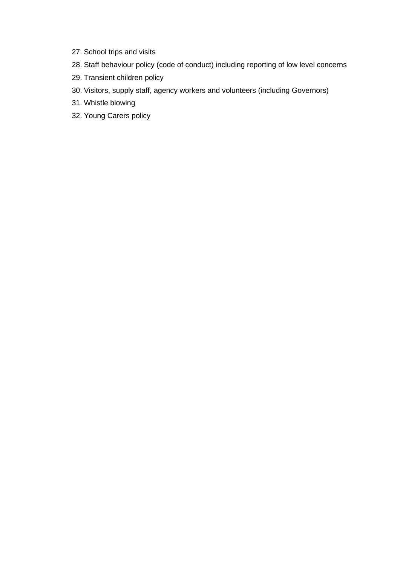- 27. School trips and visits
- 28. Staff behaviour policy (code of conduct) including reporting of low level concerns
- 29. Transient children policy
- 30. Visitors, supply staff, agency workers and volunteers (including Governors)
- 31. Whistle blowing
- 32. Young Carers policy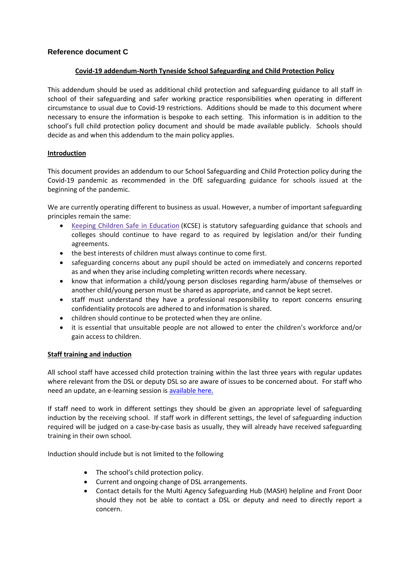# **Reference document C**

### **Covid-19 addendum-North Tyneside School Safeguarding and Child Protection Policy**

This addendum should be used as additional child protection and safeguarding guidance to all staff in school of their safeguarding and safer working practice responsibilities when operating in different circumstance to usual due to Covid-19 restrictions. Additions should be made to this document where necessary to ensure the information is bespoke to each setting. This information is in addition to the school's full child protection policy document and should be made available publicly. Schools should decide as and when this addendum to the main policy applies.

### **Introduction**

This document provides an addendum to our School Safeguarding and Child Protection policy during the Covid-19 pandemic as recommended in the DfE safeguarding guidance for schools issued at the beginning of the pandemic.

We are currently operating different to business as usual. However, a number of important safeguarding principles remain the same:

- Keeping Children Safe in [Education](https://www.gov.uk/government/publications/keeping-children-safe-in-education--2) (KCSE) is statutory safeguarding guidance that schools and colleges should continue to have regard to as required by legislation and/or their funding agreements.
- the best interests of children must always continue to come first.
- safeguarding concerns about any pupil should be acted on immediately and concerns reported as and when they arise including completing written records where necessary.
- know that information a child/young person discloses regarding harm/abuse of themselves or another child/young person must be shared as appropriate, and cannot be kept secret.
- staff must understand they have a professional responsibility to report concerns ensuring confidentiality protocols are adhered to and information is shared.
- children should continue to be protected when they are online.
- it is essential that unsuitable people are not allowed to enter the children's workforce and/or gain access to children.

#### **Staff training and induction**

All school staff have accessed child protection training within the last three years with regular updates where relevant from the DSL or deputy DSL so are aware of issues to be concerned about. For staff who need an update, an e-learning session is [available here.](https://forms.gle/nfUcyuCvUkFcKEVs6)

If staff need to work in different settings they should be given an appropriate level of safeguarding induction by the receiving school. If staff work in different settings, the level of safeguarding induction required will be judged on a case-by-case basis as usually, they will already have received safeguarding training in their own school.

Induction should include but is not limited to the following

- The school's child protection policy.
- Current and ongoing change of DSL arrangements.
- Contact details for the Multi Agency Safeguarding Hub (MASH) helpline and Front Door should they not be able to contact a DSL or deputy and need to directly report a concern.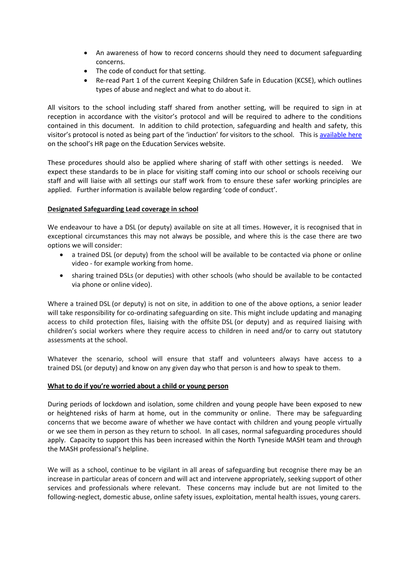- An awareness of how to record concerns should they need to document safeguarding concerns.
- The code of conduct for that setting.
- Re-read Part 1 of the current Keeping Children Safe in Education (KCSE), which outlines types of abuse and neglect and what to do about it.

All visitors to the school including staff shared from another setting, will be required to sign in at reception in accordance with the visitor's protocol and will be required to adhere to the conditions contained in this document. In addition to child protection, safeguarding and health and safety, this visitor's protocol is noted as being part of the 'induction' for visitors to the school. This is [available here](https://secure2.sla-online.co.uk/v3/Resources/Page/11216) on the school's HR page on the Education Services website.

These procedures should also be applied where sharing of staff with other settings is needed. We expect these standards to be in place for visiting staff coming into our school or schools receiving our staff and will liaise with all settings our staff work from to ensure these safer working principles are applied. Further information is available below regarding 'code of conduct'.

# **Designated Safeguarding Lead coverage in school**

We endeavour to have a DSL (or deputy) available on site at all times. However, it is recognised that in exceptional circumstances this may not always be possible, and where this is the case there are two options we will consider:

- a trained DSL (or deputy) from the school will be available to be contacted via phone or online video - for example working from home.
- sharing trained DSLs (or deputies) with other schools (who should be available to be contacted via phone or online video).

Where a trained DSL (or deputy) is not on site, in addition to one of the above options, a senior leader will take responsibility for co-ordinating safeguarding on site. This might include updating and managing access to child protection files, liaising with the offsite DSL (or deputy) and as required liaising with children's social workers where they require access to children in need and/or to carry out statutory assessments at the school.

Whatever the scenario, school will ensure that staff and volunteers always have access to a trained DSL (or deputy) and know on any given day who that person is and how to speak to them.

# **What to do if you're worried about a child or young person**

During periods of lockdown and isolation, some children and young people have been exposed to new or heightened risks of harm at home, out in the community or online. There may be safeguarding concerns that we become aware of whether we have contact with children and young people virtually or we see them in person as they return to school. In all cases, normal safeguarding procedures should apply. Capacity to support this has been increased within the North Tyneside MASH team and through the MASH professional's helpline.

We will as a school, continue to be vigilant in all areas of safeguarding but recognise there may be an increase in particular areas of concern and will act and intervene appropriately, seeking support of other services and professionals where relevant. These concerns may include but are not limited to the following-neglect, domestic abuse, online safety issues, exploitation, mental health issues, young carers.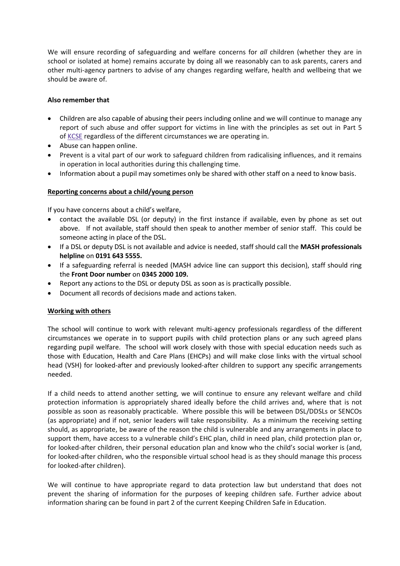We will ensure recording of safeguarding and welfare concerns for *all* children (whether they are in school or isolated at home) remains accurate by doing all we reasonably can to ask parents, carers and other multi-agency partners to advise of any changes regarding welfare, health and wellbeing that we should be aware of.

# **Also remember that**

- Children are also capable of abusing their peers including online and we will continue to manage any report of such abuse and offer support for victims in line with the principles as set out in Part 5 of [KCSE](https://www.gov.uk/government/publications/keeping-children-safe-in-education--2) regardless of the different circumstances we are operating in.
- Abuse can happen online.
- Prevent is a vital part of our work to safeguard children from radicalising influences, and it remains in operation in local authorities during this challenging time.
- Information about a pupil may sometimes only be shared with other staff on a need to know basis.

### **Reporting concerns about a child/young person**

If you have concerns about a child's welfare,

- contact the available DSL (or deputy) in the first instance if available, even by phone as set out above. If not available, staff should then speak to another member of senior staff. This could be someone acting in place of the DSL.
- If a DSL or deputy DSL is not available and advice is needed, staff should call the **MASH professionals helpline** on **0191 643 5555.**
- If a safeguarding referral is needed (MASH advice line can support this decision), staff should ring the **Front Door number** on **0345 2000 109.**
- Report any actions to the DSL or deputy DSL as soon as is practically possible.
- Document all records of decisions made and actions taken.

#### **Working with others**

The school will continue to work with relevant multi-agency professionals regardless of the different circumstances we operate in to support pupils with child protection plans or any such agreed plans regarding pupil welfare. The school will work closely with those with special education needs such as those with Education, Health and Care Plans (EHCPs) and will make close links with the virtual school head (VSH) for looked-after and previously looked-after children to support any specific arrangements needed.

If a child needs to attend another setting, we will continue to ensure any relevant welfare and child protection information is appropriately shared ideally before the child arrives and, where that is not possible as soon as reasonably practicable. Where possible this will be between DSL/DDSLs or SENCOs (as appropriate) and if not, senior leaders will take responsibility. As a minimum the receiving setting should, as appropriate, be aware of the reason the child is vulnerable and any arrangements in place to support them, have access to a vulnerable child's EHC plan, child in need plan, child protection plan or, for looked-after children, their personal education plan and know who the child's social worker is (and, for looked-after children, who the responsible virtual school head is as they should manage this process for looked-after children).

We will continue to have appropriate regard to data protection law but understand that does not prevent the sharing of information for the purposes of keeping children safe. Further advice about information sharing can be found in part 2 of the current Keeping Children Safe in Education.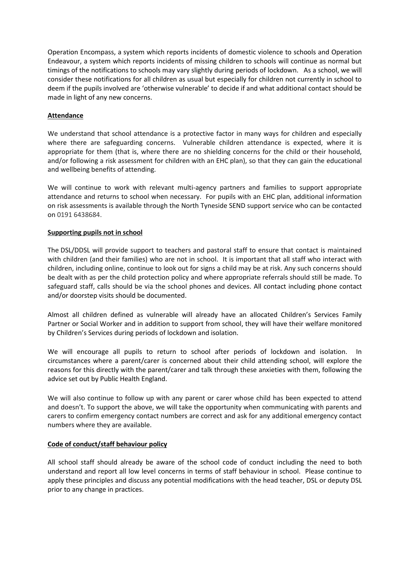Operation Encompass, a system which reports incidents of domestic violence to schools and Operation Endeavour, a system which reports incidents of missing children to schools will continue as normal but timings of the notifications to schools may vary slightly during periods of lockdown. As a school, we will consider these notifications for all children as usual but especially for children not currently in school to deem if the pupils involved are 'otherwise vulnerable' to decide if and what additional contact should be made in light of any new concerns.

### **Attendance**

We understand that school attendance is a protective factor in many ways for children and especially where there are safeguarding concerns. Vulnerable children attendance is expected, where it is appropriate for them (that is, where there are no shielding concerns for the child or their household, and/or following a risk assessment for children with an EHC plan), so that they can gain the educational and wellbeing benefits of attending.

We will continue to work with relevant multi-agency partners and families to support appropriate attendance and returns to school when necessary. For pupils with an EHC plan, additional information on risk assessments is available through the North Tyneside SEND support service who can be contacted on 0191 6438684.

#### **Supporting pupils not in school**

The DSL/DDSL will provide support to teachers and pastoral staff to ensure that contact is maintained with children (and their families) who are not in school. It is important that all staff who interact with children, including online, continue to look out for signs a child may be at risk. Any such concerns should be dealt with as per the child protection policy and where appropriate referrals should still be made. To safeguard staff, calls should be via the school phones and devices. All contact including phone contact and/or doorstep visits should be documented.

Almost all children defined as vulnerable will already have an allocated Children's Services Family Partner or Social Worker and in addition to support from school, they will have their welfare monitored by Children's Services during periods of lockdown and isolation.

We will encourage all pupils to return to school after periods of lockdown and isolation. In circumstances where a parent/carer is concerned about their child attending school, will explore the reasons for this directly with the parent/carer and talk through these anxieties with them, following the advice set out by Public Health England.

We will also continue to follow up with any parent or carer whose child has been expected to attend and doesn't. To support the above, we will take the opportunity when communicating with parents and carers to confirm emergency contact numbers are correct and ask for any additional emergency contact numbers where they are available.

#### **Code of conduct/staff behaviour policy**

All school staff should already be aware of the school code of conduct including the need to both understand and report all low level concerns in terms of staff behaviour in school. Please continue to apply these principles and discuss any potential modifications with the head teacher, DSL or deputy DSL prior to any change in practices.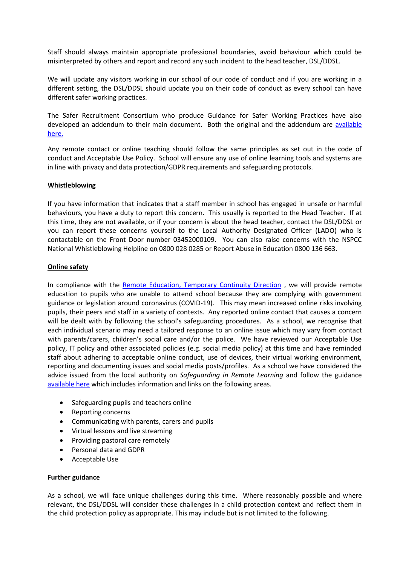Staff should always maintain appropriate professional boundaries, avoid behaviour which could be misinterpreted by others and report and record any such incident to the head teacher, DSL/DDSL.

We will update any visitors working in our school of our code of conduct and if you are working in a different setting, the DSL/DDSL should update you on their code of conduct as every school can have different safer working practices.

The Safer Recruitment Consortium who produce Guidance for Safer Working Practices have also developed an addendum to their main document. Both the original and the addendum are [available](https://www.saferrecruitmentconsortium.org/)  [here.](https://www.saferrecruitmentconsortium.org/)

Any remote contact or online teaching should follow the same principles as set out in the code of conduct and Acceptable Use Policy. School will ensure any use of online learning tools and systems are in line with privacy and data protection/GDPR requirements and safeguarding protocols.

#### **Whistleblowing**

If you have information that indicates that a staff member in school has engaged in unsafe or harmful behaviours, you have a duty to report this concern. This usually is reported to the Head Teacher. If at this time, they are not available, or if your concern is about the head teacher, contact the DSL/DDSL or you can report these concerns yourself to the Local Authority Designated Officer (LADO) who is contactable on the Front Door number 03452000109. You can also raise concerns with the NSPCC National Whistleblowing Helpline on 0800 028 0285 or Report Abuse in Education 0800 136 663.

#### **Online safety**

In compliance with the [Remote Education, Temporary Continuity Direction](https://assets.publishing.service.gov.uk/government/uploads/system/uploads/attachment_data/file/923539/Remote_Education_Temporary_Continuity_Direction_-__Explanatory_Note.pdf) , we will provide remote education to pupils who are unable to attend school because they are complying with government guidance or legislation around coronavirus (COVID-19). This may mean increased online risks involving pupils, their peers and staff in a variety of contexts. Any reported online contact that causes a concern will be dealt with by following the school's safeguarding procedures. As a school, we recognise that each individual scenario may need a tailored response to an online issue which may vary from contact with parents/carers, children's social care and/or the police. We have reviewed our Acceptable Use policy, IT policy and other associated policies (e.g. social media policy) at this time and have reminded staff about adhering to acceptable online conduct, use of devices, their virtual working environment, reporting and documenting issues and social media posts/profiles. As a school we have considered the advice issued from the local authority on *Safeguarding in Remote Learning* and follow the guidance [available here](https://www.gov.uk/guidance/safeguarding-and-remote-education-during-coronavirus-covid-19) which includes information and links on the following areas.

- Safeguarding pupils and teachers online
- Reporting concerns
- Communicating with parents, carers and pupils
- Virtual lessons and live streaming
- Providing pastoral care remotely
- Personal data and GDPR
- Acceptable Use

#### **Further guidance**

As a school, we will face unique challenges during this time. Where reasonably possible and where relevant, the DSL/DDSL will consider these challenges in a child protection context and reflect them in the child protection policy as appropriate. This may include but is not limited to the following.